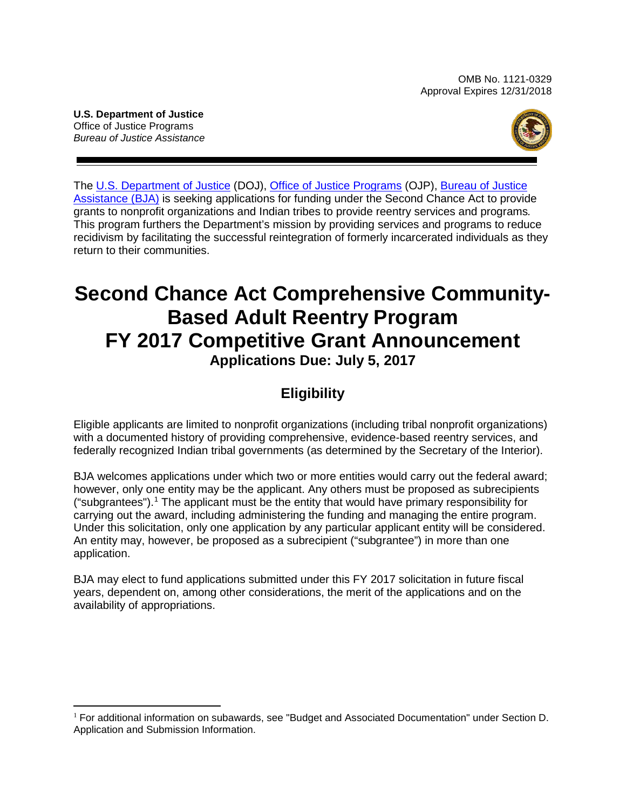OMB No. 1121-0329 Approval Expires 12/31/2018

**U.S. Department of Justice**  Office of Justice Programs *Bureau of Justice Assistance* 



 The [U.S. Department of Justice](http://www.usdoj.gov/) (DOJ), [Office of Justice Programs](http://www.ojp.usdoj.gov/) (OJP), [Bureau of Justice](https://www.bja.gov/)  This program furthers the Department's mission by providing services and programs to reduce [Assistance \(BJA\)](https://www.bja.gov/) is seeking applications for funding under the Second Chance Act to provide grants to nonprofit organizations and Indian tribes to provide reentry services and programs*.*  recidivism by facilitating the successful reintegration of formerly incarcerated individuals as they return to their communities.

# **Second Chance Act Comprehensive Community- Based Adult Reentry Program FY 2017 Competitive Grant Announcement Applications Due: July 5, 2017**

# **Eligibility**

Eligible applicants are limited to nonprofit organizations (including tribal nonprofit organizations) with a documented history of providing comprehensive, evidence-based reentry services, and federally recognized Indian tribal governments (as determined by the Secretary of the Interior).

BJA welcomes applications under which two or more entities would carry out the federal award; however, only one entity may be the applicant. Any others must be proposed as subrecipients ("subgrantees").<sup>1</sup> The applicant must be the entity that would have primary responsibility for carrying out the award, including administering the funding and managing the entire program. Under this solicitation, only one application by any particular applicant entity will be considered. An entity may, however, be proposed as a subrecipient ("subgrantee") in more than one application.

BJA may elect to fund applications submitted under this FY 2017 solicitation in future fiscal years, dependent on, among other considerations, the merit of the applications and on the availability of appropriations.

<span id="page-0-0"></span> $\overline{a}$  $1$  For additional information on subawards, see "Budget and Associated Documentation" under Section D. Application and Submission Information.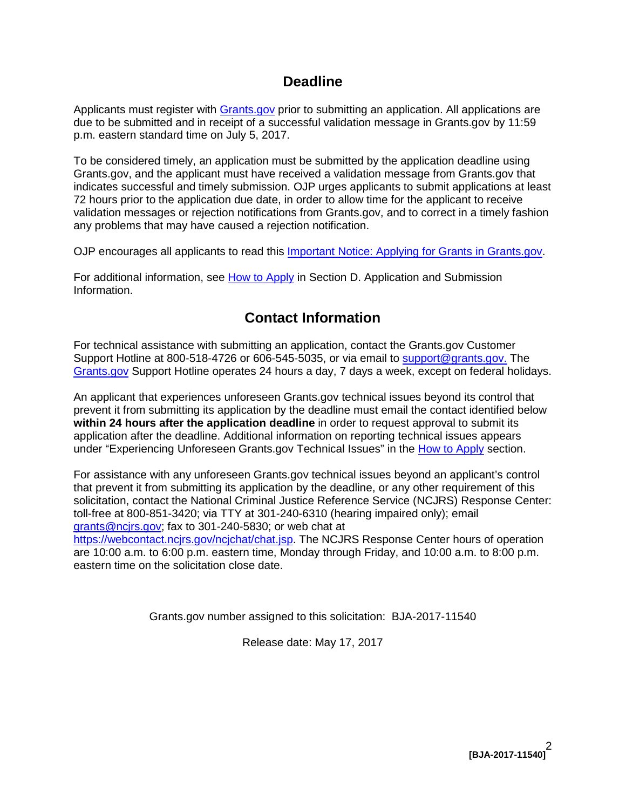# **Deadline**

Applicants must register with [Grants.gov](http://www.grants.gov/web/grants/register.html) prior to submitting an application. All applications are due to be submitted and in receipt of a successful validation message in Grants.gov by 11:59 p.m. eastern standard time on July 5, 2017.

 Grants.gov, and the applicant must have received a validation message from Grants.gov that indicates successful and timely submission. OJP urges applicants to submit applications at least validation messages or rejection notifications from Grants.gov, and to correct in a timely fashion To be considered timely, an application must be submitted by the application deadline using 72 hours prior to the application due date, in order to allow time for the applicant to receive any problems that may have caused a rejection notification.

OJP encourages all applicants to read this [Important Notice: Applying for Grants in Grants.gov.](http://ojp.gov/funding/Apply/Grants-govInfo.htm)

For additional information, see [How to Apply](#page-23-0) in Section [D. Application and Submission](#page-13-0)  [Information.](#page-13-0)

# **Contact Information**

 For technical assistance with submitting an application, contact the Grants.gov Customer Support Hotline at 800-518-4726 or 606-545-5035, or via email to **support@grants.gov.** The [Grants.gov](http://www.grants.gov/web/grants/support.html) Support Hotline operates 24 hours a day, 7 days a week, except on federal holidays.

 An applicant that experiences unforeseen Grants.gov technical issues beyond its control that prevent it from submitting its application by the deadline must email the contact identified below under "Experiencing Unforeseen Grants.gov Technical Issues" in the [How to Apply](#page-23-0) section. **within 24 hours after the application deadline** in order to request approval to submit its application after the deadline. Additional information on reporting technical issues appears

For assistance with any unforeseen Grants.gov technical issues beyond an applicant's control that prevent it from submitting its application by the deadline, or any other requirement of this solicitation, contact the National Criminal Justice Reference Service (NCJRS) Response Center: toll-free at 800-851-3420; via TTY at 301-240-6310 (hearing impaired only); email [grants@ncjrs.gov;](mailto:grants@ncjrs.gov) fax to 301-240-5830; or web chat at [https://webcontact.ncjrs.gov/ncjchat/chat.jsp.](https://webcontact.ncjrs.gov/ncjchat/chat.jsp) The NCJRS Response Center hours of operation are 10:00 a.m. to 6:00 p.m. eastern time, Monday through Friday, and 10:00 a.m. to 8:00 p.m. eastern time on the solicitation close date.

Grants.gov number assigned to this solicitation: BJA-2017-11540

Release date: May 17, 2017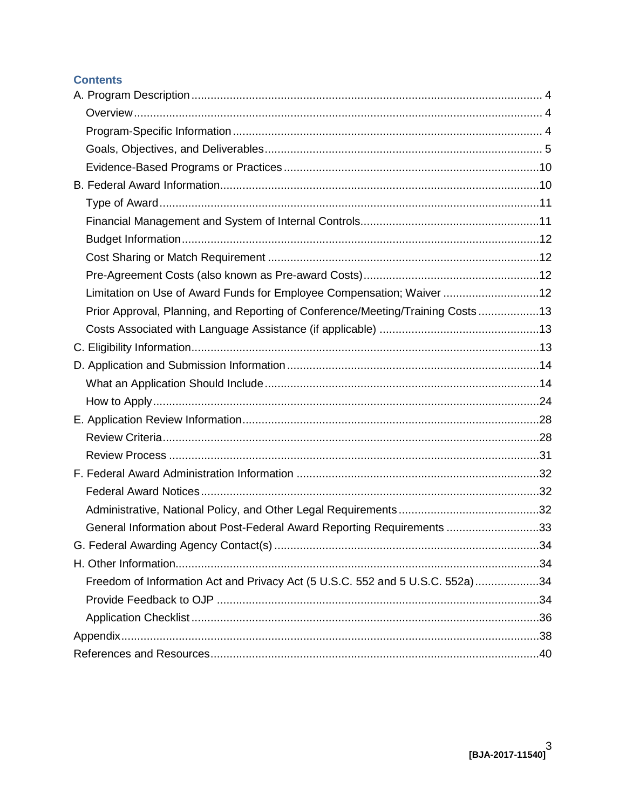# **Contents**

| Limitation on Use of Award Funds for Employee Compensation; Waiver 12           |  |
|---------------------------------------------------------------------------------|--|
| Prior Approval, Planning, and Reporting of Conference/Meeting/Training Costs 13 |  |
|                                                                                 |  |
|                                                                                 |  |
|                                                                                 |  |
|                                                                                 |  |
|                                                                                 |  |
|                                                                                 |  |
|                                                                                 |  |
|                                                                                 |  |
|                                                                                 |  |
|                                                                                 |  |
|                                                                                 |  |
| General Information about Post-Federal Award Reporting Requirements 33          |  |
|                                                                                 |  |
|                                                                                 |  |
| Freedom of Information Act and Privacy Act (5 U.S.C. 552 and 5 U.S.C. 552a)34   |  |
|                                                                                 |  |
|                                                                                 |  |
|                                                                                 |  |
|                                                                                 |  |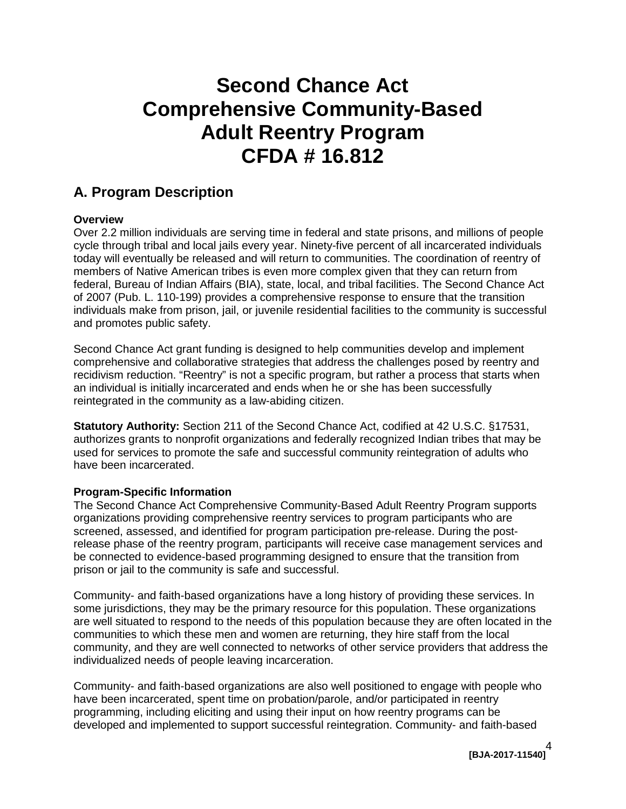# **Second Chance Act Comprehensive Community-Based Adult Reentry Program CFDA # 16.812**

# <span id="page-3-0"></span>**A. Program Description**

#### <span id="page-3-1"></span>**Overview**

 Over 2.2 million individuals are serving time in federal and state prisons, and millions of people cycle through tribal and local jails every year. Ninety-five percent of all incarcerated individuals today will eventually be released and will return to communities. The coordination of reentry of federal, Bureau of Indian Affairs (BIA), state, local, and tribal facilities. The Second Chance Act individuals make from prison, jail, or juvenile residential facilities to the community is successful members of Native American tribes is even more complex given that they can return from of 2007 (Pub. L. 110-199) provides a comprehensive response to ensure that the transition and promotes public safety.

 Second Chance Act grant funding is designed to help communities develop and implement recidivism reduction. "Reentry" is not a specific program, but rather a process that starts when comprehensive and collaborative strategies that address the challenges posed by reentry and an individual is initially incarcerated and ends when he or she has been successfully reintegrated in the community as a law-abiding citizen.

 **Statutory Authority:** Section 211 of the Second Chance Act, codified at 42 U.S.C. §17531, authorizes grants to nonprofit organizations and federally recognized Indian tribes that may be used for services to promote the safe and successful community reintegration of adults who have been incarcerated.

#### <span id="page-3-2"></span>**Program-Specific Information**

The Second Chance Act Comprehensive Community-Based Adult Reentry Program supports organizations providing comprehensive reentry services to program participants who are screened, assessed, and identified for program participation pre-release. During the postrelease phase of the reentry program, participants will receive case management services and be connected to evidence-based programming designed to ensure that the transition from prison or jail to the community is safe and successful.

 communities to which these men and women are returning, they hire staff from the local Community- and faith-based organizations have a long history of providing these services. In some jurisdictions, they may be the primary resource for this population. These organizations are well situated to respond to the needs of this population because they are often located in the community, and they are well connected to networks of other service providers that address the individualized needs of people leaving incarceration.

 Community- and faith-based organizations are also well positioned to engage with people who have been incarcerated, spent time on probation/parole, and/or participated in reentry programming, including eliciting and using their input on how reentry programs can be developed and implemented to support successful reintegration. Community- and faith-based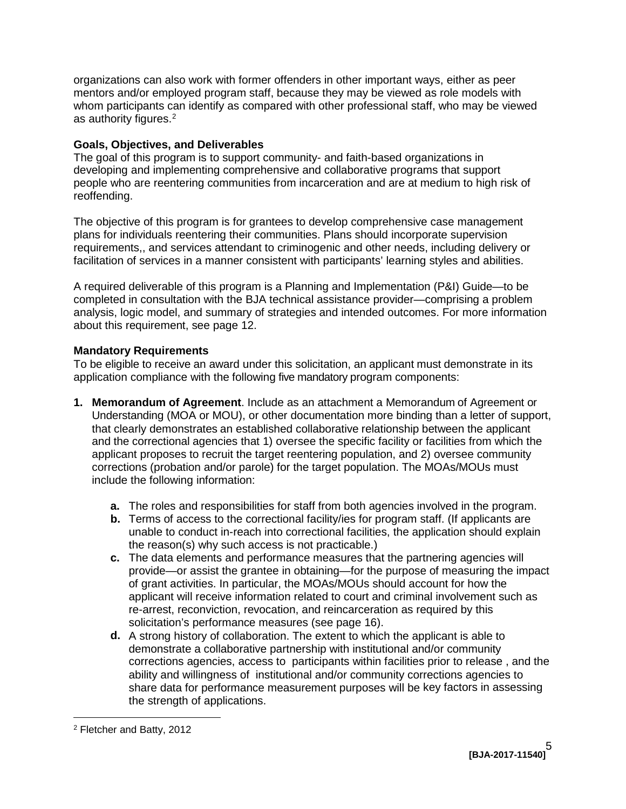organizations can also work with former offenders in other important ways, either as peer mentors and/or employed program staff, because they may be viewed as role models with whom participants can identify as compared with other professional staff, who may be viewed as authority figures. [2](#page-4-1)

#### <span id="page-4-0"></span>**Goals, Objectives, and Deliverables**

The goal of this program is to support community- and faith-based organizations in developing and implementing comprehensive and collaborative programs that support people who are reentering communities from incarceration and are at medium to high risk of reoffending.

 plans for individuals reentering their communities. Plans should incorporate supervision requirements,, and services attendant to criminogenic and other needs, including delivery or The objective of this program is for grantees to develop comprehensive case management facilitation of services in a manner consistent with participants' learning styles and abilities.

A required deliverable of this program is a Planning and Implementation (P&I) Guide—to be completed in consultation with the BJA technical assistance provider—comprising a problem analysis, logic model, and summary of strategies and intended outcomes. For more information about this requirement, see page [12.](#page-11-4)

## **Mandatory Requirements**

 To be eligible to receive an award under this solicitation, an applicant must demonstrate in its application compliance with the following five mandatory program components:

- **1. Memorandum of Agreement**. Include as an attachment a Memorandum of Agreement or Understanding (MOA or MOU), or other documentation more binding than a letter of support, that clearly demonstrates an established collaborative relationship between the applicant and the correctional agencies that 1) oversee the specific facility or facilities from which the applicant proposes to recruit the target reentering population, and 2) oversee community corrections (probation and/or parole) for the target population. The MOAs/MOUs must include the following information:
	- **a.** The roles and responsibilities for staff from both agencies involved in the program.
	- **b.** Terms of access to the correctional facility/ies for program staff. (If applicants are unable to conduct in-reach into correctional facilities, the application should explain the reason(s) why such access is not practicable.)
	- of grant activities. In particular, the MOAs/MOUs should account for how the applicant will receive information related to court and criminal involvement such as **c.** The data elements and performance measures that the partnering agencies will provide—or assist the grantee in obtaining—for the purpose of measuring the impact re-arrest, reconviction, revocation, and reincarceration as required by this solicitation's performance measures (see page [16\)](#page-15-0).
- **d.** A strong history of collaboration. The extent to which the applicant is able to **the strength of applications.**<br>
<u>Perfetcher and Batty, 2012</u> demonstrate a collaborative partnership with institutional and/or community corrections agencies, access to participants within facilities prior to release , and the ability and willingness of institutional and/or community corrections agencies to share data for performance measurement purposes will be key factors in assessing

<span id="page-4-1"></span> $\overline{a}$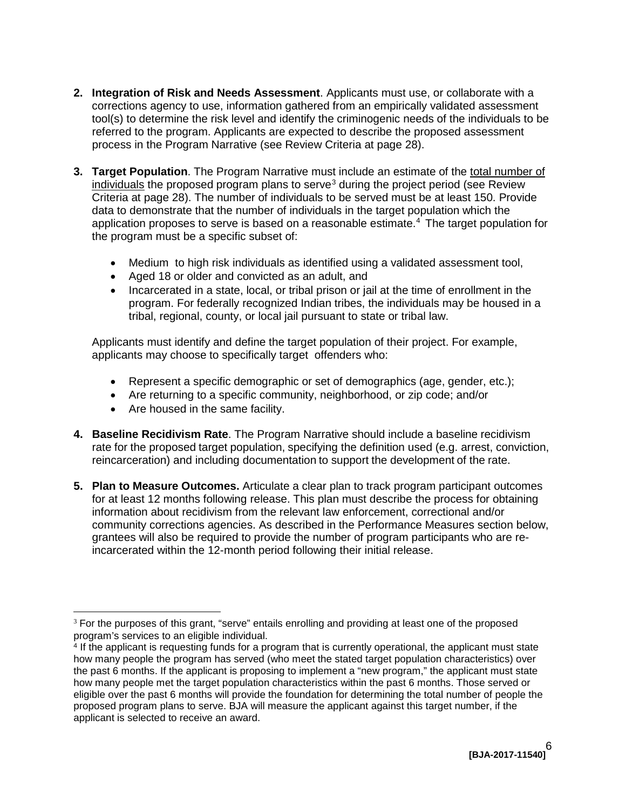- <span id="page-5-3"></span> corrections agency to use, information gathered from an empirically validated assessment tool(s) to determine the risk level and identify the criminogenic needs of the individuals to be process in the Program Narrative (see Review Criteria at page [28\)](#page-27-2). **2. Integration of Risk and Needs Assessment**. Applicants must use, or collaborate with a referred to the program. Applicants are expected to describe the proposed assessment
- <span id="page-5-2"></span> **3. Target Population**. The Program Narrative must include an estimate of the total number of individuals the proposed program plans to serve<sup>3</sup> during the project period (see Review application proposes to serve is based on a reasonable estimate. [4](#page-5-1) The target population for Criteria at page [28\)](#page-27-2). The number of individuals to be served must be at least 150. Provide data to demonstrate that the number of individuals in the target population which the the program must be a specific subset of:
	- Medium to high risk individuals as identified using a validated assessment tool,
	- Aged 18 or older and convicted as an adult, and
	- Incarcerated in a state, local, or tribal prison or jail at the time of enrollment in the program. For federally recognized Indian tribes, the individuals may be housed in a tribal, regional, county, or local jail pursuant to state or tribal law.

 applicants may choose to specifically target offenders who: Applicants must identify and define the target population of their project. For example,

- Represent a specific demographic or set of demographics (age, gender, etc.);
- Are returning to a specific community, neighborhood, or zip code; and/or
- Are housed in the same facility.
- **4. Baseline Recidivism Rate**. The Program Narrative should include a baseline recidivism rate for the proposed target population, specifying the definition used (e.g. arrest, conviction, reincarceration) and including documentation to support the development of the rate.
- information about recidivism from the relevant law enforcement, correctional and/or **5. Plan to Measure Outcomes.** Articulate a clear plan to track program participant outcomes for at least 12 months following release. This plan must describe the process for obtaining community corrections agencies. As described in the Performance Measures section below, grantees will also be required to provide the number of program participants who are reincarcerated within the 12-month period following their initial release.

<span id="page-5-0"></span> $\overline{a}$ program's services to an eligible individual.  $3$  For the purposes of this grant, "serve" entails enrolling and providing at least one of the proposed

<span id="page-5-1"></span>program's services to an eligible individual.<br><sup>4</sup> If the applicant is requesting funds for a program that is currently operational, the applicant must state eligible over the past 6 months will provide the foundation for determining the total number of people the proposed program plans to serve. BJA will measure the applicant against this target number, if the how many people the program has served (who meet the stated target population characteristics) over the past 6 months. If the applicant is proposing to implement a "new program," the applicant must state how many people met the target population characteristics within the past 6 months. Those served or applicant is selected to receive an award.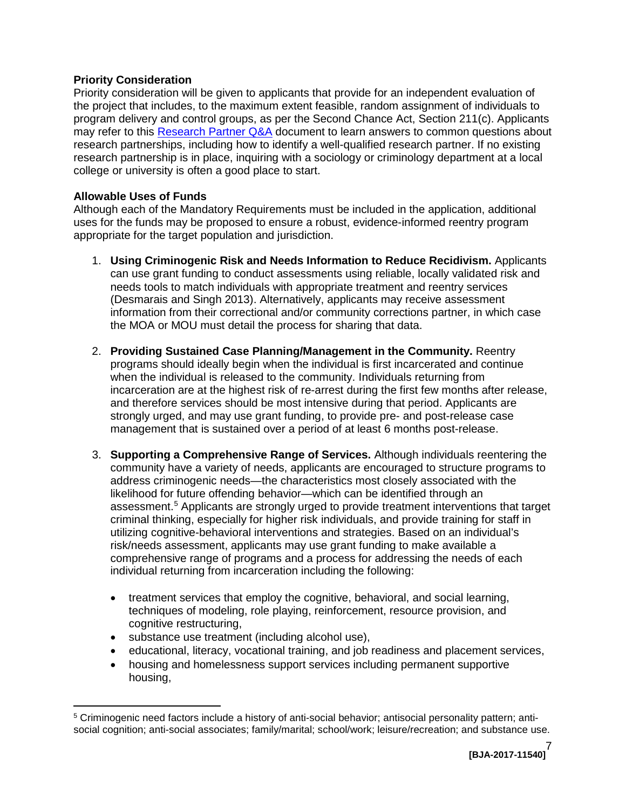#### **Priority Consideration**

may refer to this <u>Research Partner Q&A</u> document to learn answers to common questions about Priority consideration will be given to applicants that provide for an independent evaluation of the project that includes, to the maximum extent feasible, random assignment of individuals to program delivery and control groups, as per the Second Chance Act, Section 211(c). Applicants research partnerships, including how to identify a well-qualified research partner. If no existing research partnership is in place, inquiring with a sociology or criminology department at a local college or university is often a good place to start.

### **Allowable Uses of Funds**

 $\overline{a}$ 

 uses for the funds may be proposed to ensure a robust, evidence-informed reentry program appropriate for the target population and jurisdiction. Although each of the Mandatory Requirements must be included in the application, additional

- can use grant funding to conduct assessments using reliable, locally validated risk and information from their correctional and/or community corrections partner, in which case the MOA or MOU must detail the process for sharing that data. 1. Using Criminogenic Risk and Needs Information to Reduce Recidivism. Applicants needs tools to match individuals with appropriate treatment and reentry services (Desmarais and Singh 2013). Alternatively, applicants may receive assessment
- programs should ideally begin when the individual is first incarcerated and continue strongly urged, and may use grant funding, to provide pre- and post-release case management that is sustained over a period of at least 6 months post-release. 2. **Providing Sustained Case Planning/Management in the Community.** Reentry when the individual is released to the community. Individuals returning from incarceration are at the highest risk of re-arrest during the first few months after release, and therefore services should be most intensive during that period. Applicants are
- likelihood for future offending behavior—which can be identified through an risk/needs assessment, applicants may use grant funding to make available a 3. **Supporting a Comprehensive Range of Services.** Although individuals reentering the community have a variety of needs, applicants are encouraged to structure programs to address criminogenic needs—the characteristics most closely associated with the assessment.<sup>[5](#page-6-0)</sup> Applicants are strongly urged to provide treatment interventions that target criminal thinking, especially for higher risk individuals, and provide training for staff in utilizing cognitive-behavioral interventions and strategies. Based on an individual's comprehensive range of programs and a process for addressing the needs of each individual returning from incarceration including the following:
	- techniques of modeling, role playing, reinforcement, resource provision, and • treatment services that employ the cognitive, behavioral, and social learning, cognitive restructuring,
	- substance use treatment (including alcohol use),
	- • educational, literacy, vocational training, and job readiness and placement services,
	- housing and homelessness support services including permanent supportive housing,

<span id="page-6-0"></span><sup>5</sup> Criminogenic need factors include a history of anti-social behavior; antisocial personality pattern; antisocial cognition; anti-social associates; family/marital; school/work; leisure/recreation; and substance use.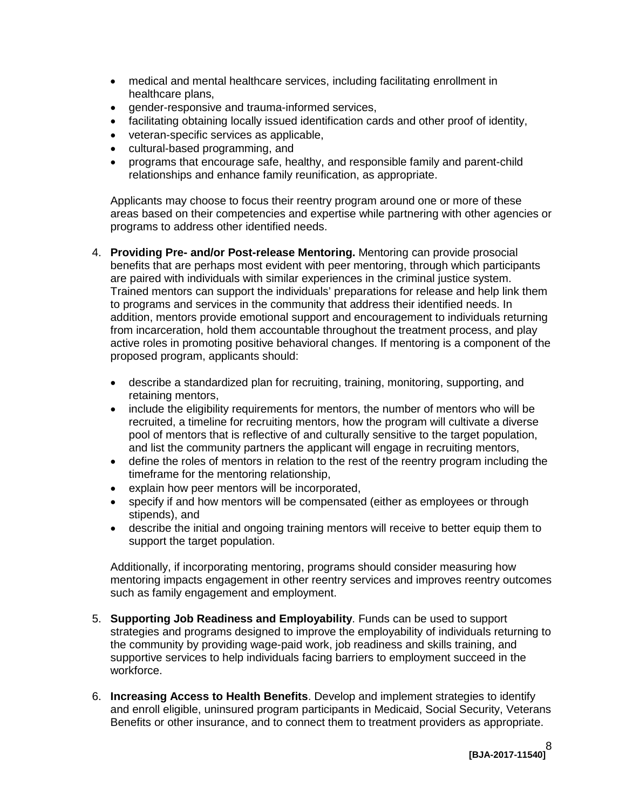- medical and mental healthcare services, including facilitating enrollment in healthcare plans,
- • gender-responsive and trauma-informed services,
- facilitating obtaining locally issued identification cards and other proof of identity,
- • veteran-specific services as applicable,
- • cultural-based programming, and
- programs that encourage safe, healthy, and responsible family and parent-child relationships and enhance family reunification, as appropriate.

 Applicants may choose to focus their reentry program around one or more of these areas based on their competencies and expertise while partnering with other agencies or programs to address other identified needs.

- 4. **Providing Pre- and/or Post-release Mentoring.** Mentoring can provide prosocial Trained mentors can support the individuals' preparations for release and help link them addition, mentors provide emotional support and encouragement to individuals returning benefits that are perhaps most evident with peer mentoring, through which participants are paired with individuals with similar experiences in the criminal justice system. to programs and services in the community that address their identified needs. In from incarceration, hold them accountable throughout the treatment process, and play active roles in promoting positive behavioral changes. If mentoring is a component of the proposed program, applicants should:
	- describe a standardized plan for recruiting, training, monitoring, supporting, and retaining mentors,
	- pool of mentors that is reflective of and culturally sensitive to the target population, • include the eligibility requirements for mentors, the number of mentors who will be recruited, a timeline for recruiting mentors, how the program will cultivate a diverse and list the community partners the applicant will engage in recruiting mentors,
	- timeframe for the mentoring relationship, • define the roles of mentors in relation to the rest of the reentry program including the
	- explain how peer mentors will be incorporated,
	- specify if and how mentors will be compensated (either as employees or through stipends), and
	- describe the initial and ongoing training mentors will receive to better equip them to support the target population.

Additionally, if incorporating mentoring, programs should consider measuring how mentoring impacts engagement in other reentry services and improves reentry outcomes such as family engagement and employment.

- 5. **Supporting Job Readiness and Employability**. Funds can be used to support strategies and programs designed to improve the employability of individuals returning to the community by providing wage-paid work, job readiness and skills training, and supportive services to help individuals facing barriers to employment succeed in the workforce.
- Benefits or other insurance, and to connect them to treatment providers as appropriate. 6. **Increasing Access to Health Benefits**. Develop and implement strategies to identify and enroll eligible, uninsured program participants in Medicaid, Social Security, Veterans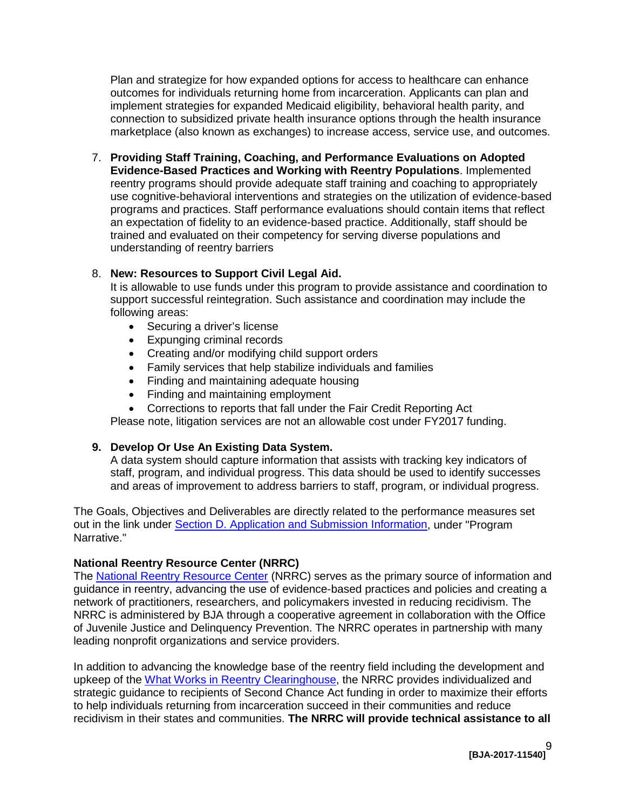Plan and strategize for how expanded options for access to healthcare can enhance outcomes for individuals returning home from incarceration. Applicants can plan and implement strategies for expanded Medicaid eligibility, behavioral health parity, and connection to subsidized private health insurance options through the health insurance marketplace (also known as exchanges) to increase access, service use, and outcomes.

 reentry programs should provide adequate staff training and coaching to appropriately programs and practices. Staff performance evaluations should contain items that reflect an expectation of fidelity to an evidence-based practice. Additionally, staff should be 7. **Providing Staff Training, Coaching, and Performance Evaluations on Adopted Evidence-Based Practices and Working with Reentry Populations**. Implemented use cognitive-behavioral interventions and strategies on the utilization of evidence-based trained and evaluated on their competency for serving diverse populations and understanding of reentry barriers

## 8. **New: Resources to Support Civil Legal Aid.**

It is allowable to use funds under this program to provide assistance and coordination to support successful reintegration. Such assistance and coordination may include the following areas:

- Securing a driver's license
- • Expunging criminal records
- Creating and/or modifying child support orders
- Family services that help stabilize individuals and families
- Finding and maintaining adequate housing
- Finding and maintaining employment
- Corrections to reports that fall under the Fair Credit Reporting Act

Please note, litigation services are not an allowable cost under FY2017 funding.

# **9. Develop Or Use An Existing Data System.**

A data system should capture information that assists with tracking key indicators of staff, program, and individual progress. This data should be used to identify successes and areas of improvement to address barriers to staff, program, or individual progress.

 The Goals, Objectives and Deliverables are directly related to the performance measures set out in the link under [Section D. Application and Submission Information,](#page-13-0) under "Program Narrative."

# **National Reentry Resource Center (NRRC)**

 network of practitioners, researchers, and policymakers invested in reducing recidivism. The The [National Reentry Resource Center](https://csgjusticecenter.org/nrrc/) (NRRC) serves as the primary source of information and guidance in reentry, advancing the use of evidence-based practices and policies and creating a NRRC is administered by BJA through a cooperative agreement in collaboration with the Office of Juvenile Justice and Delinquency Prevention. The NRRC operates in partnership with many leading nonprofit organizations and service providers.

 recidivism in their states and communities. **The NRRC will provide technical assistance to all**  In addition to advancing the knowledge base of the reentry field including the development and upkeep of the [What Works in Reentry Clearinghouse,](http://whatworks.csgjusticecenter.org/) the NRRC provides individualized and strategic guidance to recipients of Second Chance Act funding in order to maximize their efforts to help individuals returning from incarceration succeed in their communities and reduce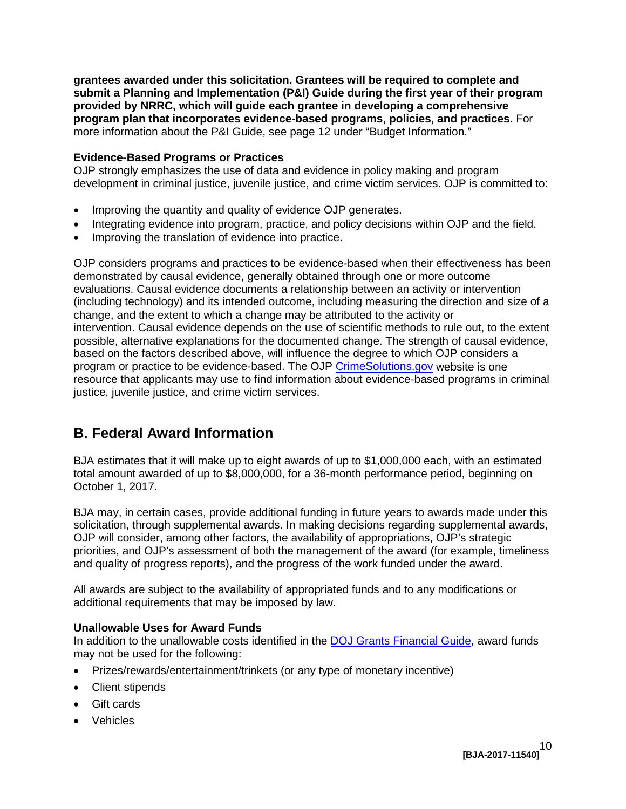more information about the P&I Guide, see page [12](#page-11-4) under "Budget Information." **grantees awarded under this solicitation. Grantees will be required to complete and submit a Planning and Implementation (P&I) Guide during the first year of their program provided by NRRC, which will guide each grantee in developing a comprehensive program plan that incorporates evidence-based programs, policies, and practices.** For

### <span id="page-9-0"></span>**Evidence-Based Programs or Practices**

OJP strongly emphasizes the use of data and evidence in policy making and program development in criminal justice, juvenile justice, and crime victim services. OJP is committed to:

- Improving the quantity and quality of evidence OJP generates.
- Integrating evidence into program, practice, and policy decisions within OJP and the field.
- Improving the translation of evidence into practice.

 change, and the extent to which a change may be attributed to the activity or possible, alternative explanations for the documented change. The strength of causal evidence, program or practice to be evidence-based. The OJP <u>CrimeSolutions.gov</u> website is one OJP considers programs and practices to be evidence-based when their effectiveness has been demonstrated by causal evidence, generally obtained through one or more outcome evaluations. Causal evidence documents a relationship between an activity or intervention (including technology) and its intended outcome, including measuring the direction and size of a intervention. Causal evidence depends on the use of scientific methods to rule out, to the extent based on the factors described above, will influence the degree to which OJP considers a resource that applicants may use to find information about evidence-based programs in criminal justice, juvenile justice, and crime victim services.

# <span id="page-9-1"></span> **B. Federal Award Information**

BJA estimates that it will make up to eight awards of up to \$1,000,000 each, with an estimated total amount awarded of up to \$8,000,000, for a 36-month performance period, beginning on October 1, 2017.

 BJA may, in certain cases, provide additional funding in future years to awards made under this OJP will consider, among other factors, the availability of appropriations, OJP's strategic and quality of progress reports), and the progress of the work funded under the award. solicitation, through supplemental awards. In making decisions regarding supplemental awards, priorities, and OJP's assessment of both the management of the award (for example, timeliness

All awards are subject to the availability of appropriated funds and to any modifications or additional requirements that may be imposed by law.

# **Unallowable Uses for Award Funds**

 may not be used for the following: In addition to the unallowable costs identified in the [DOJ Grants Financial Guide,](http://ojp.gov/financialguide/DOJ/index.htm) award funds

- Prizes/rewards/entertainment/trinkets (or any type of monetary incentive)
- Client stipends
- Gift cards
- Vehicles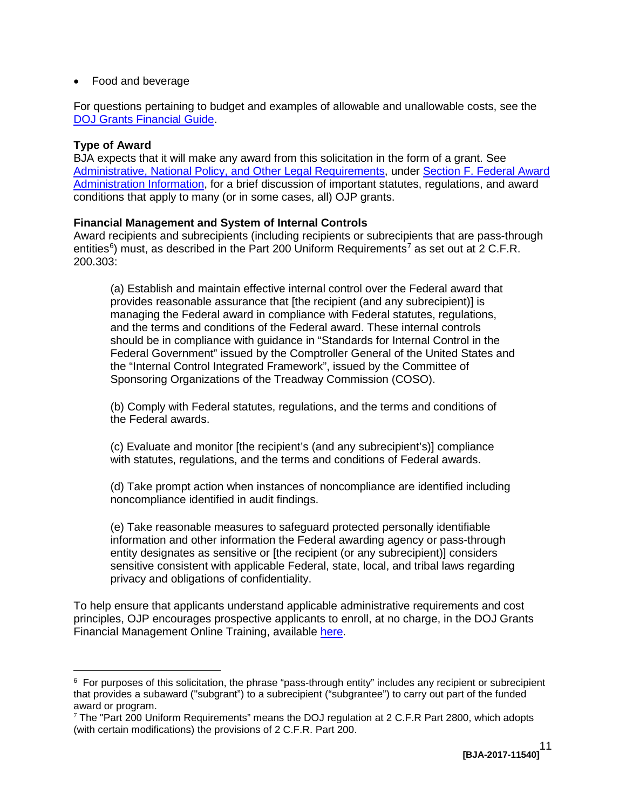• Food and beverage

For questions pertaining to budget and examples of allowable and unallowable costs, see the [DOJ Grants Financial Guide.](http://ojp.gov/financialguide/DOJ/index.htm)

# <span id="page-10-0"></span>**Type of Award**

 $\overline{a}$ 

 BJA expects that it will make any award from this solicitation in the form of a grant. See [Administrative, National Policy, and Other Legal Requirements,](#page-31-3) under [Section F. Federal Award](#page-31-3)  [Administration Information,](#page-31-3) for a brief discussion of important statutes, regulations, and award conditions that apply to many (or in some cases, all) OJP grants.

# <span id="page-10-1"></span> **Financial Management and System of Internal Controls**

 Award recipients and subrecipients (including recipients or subrecipients that are pass-through 200.303: entities<sup>[6](#page-10-2)</sup>) must, as described in the Part 200 Uniform Requirements<sup>[7](#page-10-3)</sup> as set out at 2 C.F.R.

 Federal Government" issued by the Comptroller General of the United States and Sponsoring Organizations of the Treadway Commission (COSO). (a) Establish and maintain effective internal control over the Federal award that provides reasonable assurance that [the recipient (and any subrecipient)] is managing the Federal award in compliance with Federal statutes, regulations, and the terms and conditions of the Federal award. These internal controls should be in compliance with guidance in "Standards for Internal Control in the the "Internal Control Integrated Framework", issued by the Committee of

(b) Comply with Federal statutes, regulations, and the terms and conditions of the Federal awards.

(c) Evaluate and monitor [the recipient's (and any subrecipient's)] compliance with statutes, regulations, and the terms and conditions of Federal awards.

(d) Take prompt action when instances of noncompliance are identified including noncompliance identified in audit findings.

 sensitive consistent with applicable Federal, state, local, and tribal laws regarding (e) Take reasonable measures to safeguard protected personally identifiable information and other information the Federal awarding agency or pass-through entity designates as sensitive or [the recipient (or any subrecipient)] considers privacy and obligations of confidentiality.

To help ensure that applicants understand applicable administrative requirements and cost principles, OJP encourages prospective applicants to enroll, at no charge, in the DOJ Grants Financial Management Online Training, available [here.](http://ojpfgm.webfirst.com/)

<span id="page-10-2"></span> $^6$  For purposes of this solicitation, the phrase "pass-through entity" includes any recipient or subrecipient that provides a subaward ("subgrant") to a subrecipient ("subgrantee") to carry out part of the funded award or program.

<span id="page-10-3"></span> $7$  The "Part 200 Uniform Requirements" means the DOJ regulation at 2 C.F.R Part 2800, which adopts (with certain modifications) the provisions of 2 C.F.R. Part 200.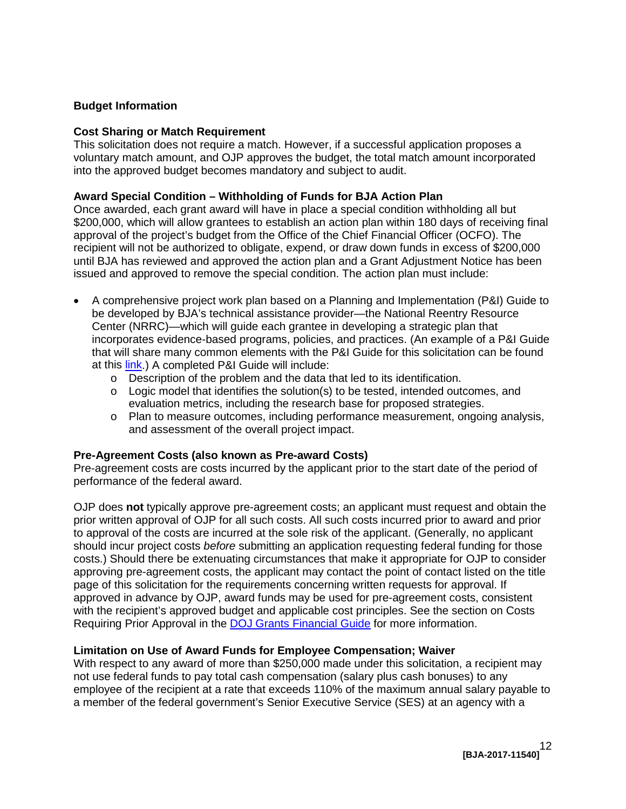### <span id="page-11-4"></span><span id="page-11-0"></span>**Budget Information**

#### <span id="page-11-1"></span>**Cost Sharing or Match Requirement**

This solicitation does not require a match. However, if a successful application proposes a voluntary match amount, and OJP approves the budget, the total match amount incorporated into the approved budget becomes mandatory and subject to audit.

#### **Award Special Condition – Withholding of Funds for BJA Action Plan**

 \$200,000, which will allow grantees to establish an action plan within 180 days of receiving final approval of the project's budget from the Office of the Chief Financial Officer (OCFO). The Once awarded, each grant award will have in place a special condition withholding all but recipient will not be authorized to obligate, expend, or draw down funds in excess of \$200,000 until BJA has reviewed and approved the action plan and a Grant Adjustment Notice has been issued and approved to remove the special condition. The action plan must include:

- Center (NRRC)—which will guide each grantee in developing a strategic plan that that will share many common elements with the P&I Guide for this solicitation can be found at this <u>link</u>.) A completed P&I Guide will include: A comprehensive project work plan based on a Planning and Implementation (P&I) Guide to be developed by BJA's technical assistance provider—the National Reentry Resource incorporates evidence-based programs, policies, and practices. (An example of a P&I Guide
	- o Description of the problem and the data that led to its identification.
	- $\circ$  Logic model that identifies the solution(s) to be tested, intended outcomes, and evaluation metrics, including the research base for proposed strategies.
	- $\circ$  Plan to measure outcomes, including performance measurement, ongoing analysis, and assessment of the overall project impact.

#### <span id="page-11-2"></span>**Pre-Agreement Costs (also known as Pre-award Costs)**

performance of the federal award. Pre-agreement costs are costs incurred by the applicant prior to the start date of the period of

 prior written approval of OJP for all such costs. All such costs incurred prior to award and prior to approval of the costs are incurred at the sole risk of the applicant. (Generally, no applicant OJP does **not** typically approve pre-agreement costs; an applicant must request and obtain the should incur project costs *before* submitting an application requesting federal funding for those costs.) Should there be extenuating circumstances that make it appropriate for OJP to consider approving pre-agreement costs, the applicant may contact the point of contact listed on the title page of this solicitation for the requirements concerning written requests for approval. If approved in advance by OJP, award funds may be used for pre-agreement costs, consistent with the recipient's approved budget and applicable cost principles. See the section on Costs Requiring Prior Approval in the **DOJ Grants Financial Guide** for more information.

#### <span id="page-11-3"></span>**Limitation on Use of Award Funds for Employee Compensation; Waiver**

 not use federal funds to pay total cash compensation (salary plus cash bonuses) to any With respect to any award of more than \$250,000 made under this solicitation, a recipient may employee of the recipient at a rate that exceeds 110% of the maximum annual salary payable to a member of the federal government's Senior Executive Service (SES) at an agency with a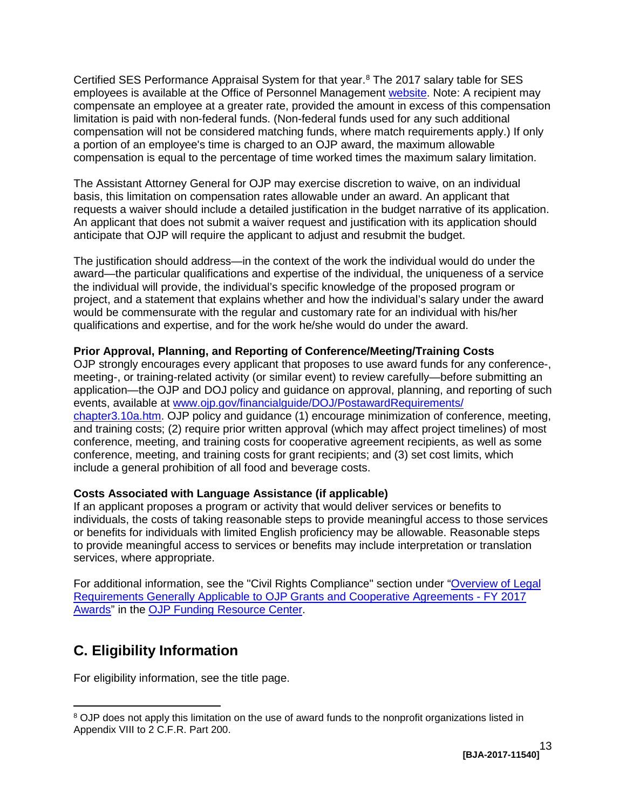Certified SES Performance Appraisal System for that year. [8](#page-12-3) The 2017 salary table for SES employees is available at the Office of Personnel Management [website.](https://www.opm.gov/policy-data-oversight/pay-leave/salaries-wages/salary-tables/17Tables/exec/html/ES.aspx) Note: A recipient may limitation is paid with non-federal funds. (Non-federal funds used for any such additional compensation will not be considered matching funds, where match requirements apply.) If only compensation is equal to the percentage of time worked times the maximum salary limitation. compensate an employee at a greater rate, provided the amount in excess of this compensation a portion of an employee's time is charged to an OJP award, the maximum allowable

 The Assistant Attorney General for OJP may exercise discretion to waive, on an individual basis, this limitation on compensation rates allowable under an award. An applicant that requests a waiver should include a detailed justification in the budget narrative of its application. An applicant that does not submit a waiver request and justification with its application should anticipate that OJP will require the applicant to adjust and resubmit the budget.

 the individual will provide, the individual's specific knowledge of the proposed program or qualifications and expertise, and for the work he/she would do under the award. The justification should address—in the context of the work the individual would do under the award—the particular qualifications and expertise of the individual, the uniqueness of a service project, and a statement that explains whether and how the individual's salary under the award would be commensurate with the regular and customary rate for an individual with his/her

## <span id="page-12-0"></span>**Prior Approval, Planning, and Reporting of Conference/Meeting/Training Costs**

 meeting-, or training-related activity (or similar event) to review carefully—before submitting an [chapter3.10a.htm.](http://www.ojp.gov/financialguide/DOJ/PostawardRequirements/chapter3.10a.htm) OJP policy and guidance (1) encourage minimization of conference, meeting, conference, meeting, and training costs for cooperative agreement recipients, as well as some OJP strongly encourages every applicant that proposes to use award funds for any conference-, application—the OJP and DOJ policy and guidance on approval, planning, and reporting of such events, available at [www.ojp.gov/financialguide/DOJ/PostawardRequirements/](http://www.ojp.gov/financialguide/DOJ/PostawardRequirements/chapter3.10a.htm)  and training costs; (2) require prior written approval (which may affect project timelines) of most conference, meeting, and training costs for grant recipients; and (3) set cost limits, which include a general prohibition of all food and beverage costs.

#### <span id="page-12-1"></span>**Costs Associated with Language Assistance (if applicable)**

 If an applicant proposes a program or activity that would deliver services or benefits to individuals, the costs of taking reasonable steps to provide meaningful access to those services or benefits for individuals with limited English proficiency may be allowable. Reasonable steps to provide meaningful access to services or benefits may include interpretation or translation services, where appropriate.

 [Requirements Generally Applicable to OJP Grants and Cooperative Agreements -](https://ojp.gov/funding/Explore/SolicitationRequirements/index.htm) FY 2017 [Awards"](https://ojp.gov/funding/Explore/SolicitationRequirements/index.htm) in the [OJP Funding Resource Center.](http://ojp.gov/funding/index.htm) For additional information, see the "Civil Rights Compliance" section under ["Overview of Legal](https://ojp.gov/funding/Explore/SolicitationRequirements/index.htm) 

# <span id="page-12-2"></span>**C. Eligibility Information**

 $\overline{a}$ 

For eligibility information, see the title page.

<span id="page-12-3"></span> $8$  OJP does not apply this limitation on the use of award funds to the nonprofit organizations listed in Appendix VIII to 2 C.F.R. Part 200.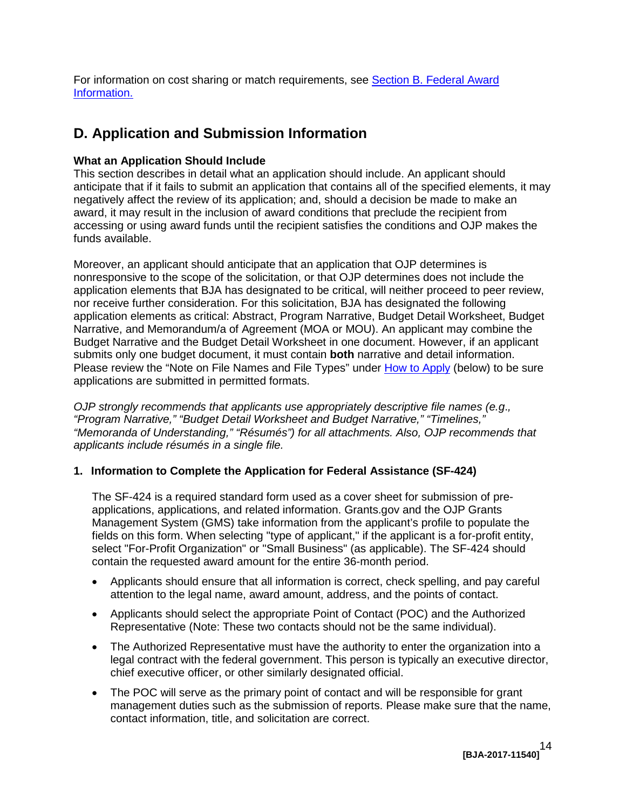For information on cost sharing or match requirements, see [Section B. Federal Award](#page-9-1)  [Information.](#page-9-1) 

# <span id="page-13-0"></span>**D. Application and Submission Information**

# <span id="page-13-1"></span>**What an Application Should Include**

 negatively affect the review of its application; and, should a decision be made to make an accessing or using award funds until the recipient satisfies the conditions and OJP makes the This section describes in detail what an application should include. An applicant should anticipate that if it fails to submit an application that contains all of the specified elements, it may award, it may result in the inclusion of award conditions that preclude the recipient from funds available.

 application elements as critical: Abstract, Program Narrative, Budget Detail Worksheet, Budget Moreover, an applicant should anticipate that an application that OJP determines is nonresponsive to the scope of the solicitation, or that OJP determines does not include the application elements that BJA has designated to be critical, will neither proceed to peer review, nor receive further consideration. For this solicitation, BJA has designated the following Narrative, and Memorandum/a of Agreement (MOA or MOU). An applicant may combine the Budget Narrative and the Budget Detail Worksheet in one document. However, if an applicant submits only one budget document, it must contain **both** narrative and detail information. Please review the "Note on File Names and File Types" under [How to Apply](#page-23-0) (below) to be sure applications are submitted in permitted formats.

*OJP strongly recommends that applicants use appropriately descriptive file names (e.g*.*, "Program Narrative," "Budget Detail Worksheet and Budget Narrative," "Timelines," "Memoranda of Understanding," "Résumés") for all attachments. Also, OJP recommends that applicants include résumés in a single file.* 

### **1. Information to Complete the Application for Federal Assistance (SF-424)**

 Management System (GMS) take information from the applicant's profile to populate the contain the requested award amount for the entire 36-month period. The SF-424 is a required standard form used as a cover sheet for submission of preapplications, applications, and related information. Grants.gov and the OJP Grants fields on this form. When selecting "type of applicant," if the applicant is a for-profit entity, select "For-Profit Organization" or "Small Business" (as applicable). The SF-424 should

- Applicants should ensure that all information is correct, check spelling, and pay careful attention to the legal name, award amount, address, and the points of contact.
- Applicants should select the appropriate Point of Contact (POC) and the Authorized Representative (Note: These two contacts should not be the same individual).
- legal contract with the federal government. This person is typically an executive director, • The Authorized Representative must have the authority to enter the organization into a chief executive officer, or other similarly designated official.
- The POC will serve as the primary point of contact and will be responsible for grant management duties such as the submission of reports. Please make sure that the name, contact information, title, and solicitation are correct.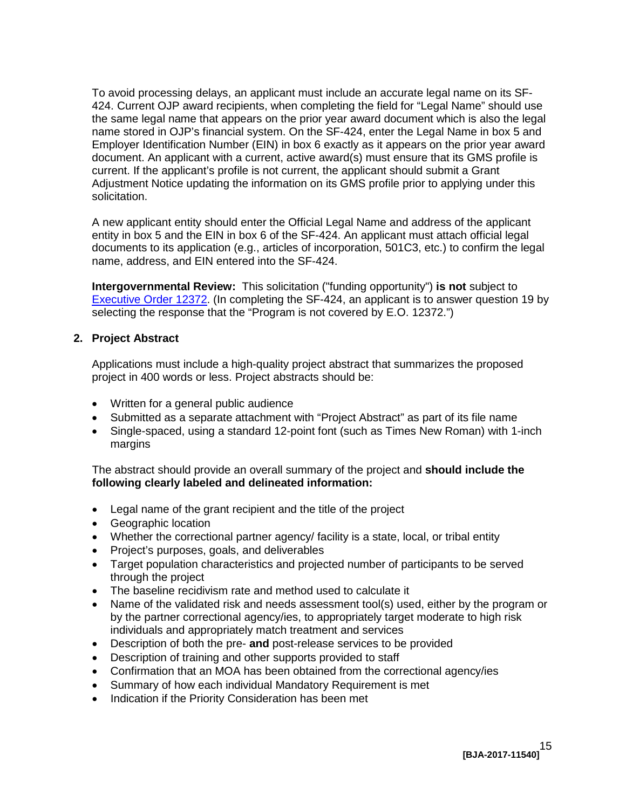current. If the applicant's profile is not current, the applicant should submit a Grant Adjustment Notice updating the information on its GMS profile prior to applying under this To avoid processing delays, an applicant must include an accurate legal name on its SF-424. Current OJP award recipients, when completing the field for "Legal Name" should use the same legal name that appears on the prior year award document which is also the legal name stored in OJP's financial system. On the SF-424, enter the Legal Name in box 5 and Employer Identification Number (EIN) in box 6 exactly as it appears on the prior year award document. An applicant with a current, active award(s) must ensure that its GMS profile is solicitation.

 documents to its application (e.g., articles of incorporation, 501C3, etc.) to confirm the legal name, address, and EIN entered into the SF-424. A new applicant entity should enter the Official Legal Name and address of the applicant entity in box 5 and the EIN in box 6 of the SF-424. An applicant must attach official legal

 **Intergovernmental Review:** This solicitation ("funding opportunity") **is not** subject to [Executive Order 12372.](http://www.archives.gov/federal-register/codification/executive-order/12372.html) (In completing the SF-424, an applicant is to answer question 19 by selecting the response that the "Program is not covered by E.O. 12372.")

#### **2. Project Abstract**

Applications must include a high-quality project abstract that summarizes the proposed project in 400 words or less. Project abstracts should be:

- • Written for a general public audience
- Submitted as a separate attachment with "Project Abstract" as part of its file name
- Single-spaced, using a standard 12-point font (such as Times New Roman) with 1-inch margins

 The abstract should provide an overall summary of the project and **should include the following clearly labeled and delineated information:** 

- Legal name of the grant recipient and the title of the project
- • Geographic location
- Whether the correctional partner agency/ facility is a state, local, or tribal entity
- • Project's purposes, goals, and deliverables
- Target population characteristics and projected number of participants to be served through the project
- The baseline recidivism rate and method used to calculate it
- Name of the validated risk and needs assessment tool(s) used, either by the program or by the partner correctional agency/ies, to appropriately target moderate to high risk individuals and appropriately match treatment and services
- • Description of both the pre- **and** post-release services to be provided
- Description of training and other supports provided to staff
- Confirmation that an MOA has been obtained from the correctional agency/ies
- Summary of how each individual Mandatory Requirement is met
- Indication if the Priority Consideration has been met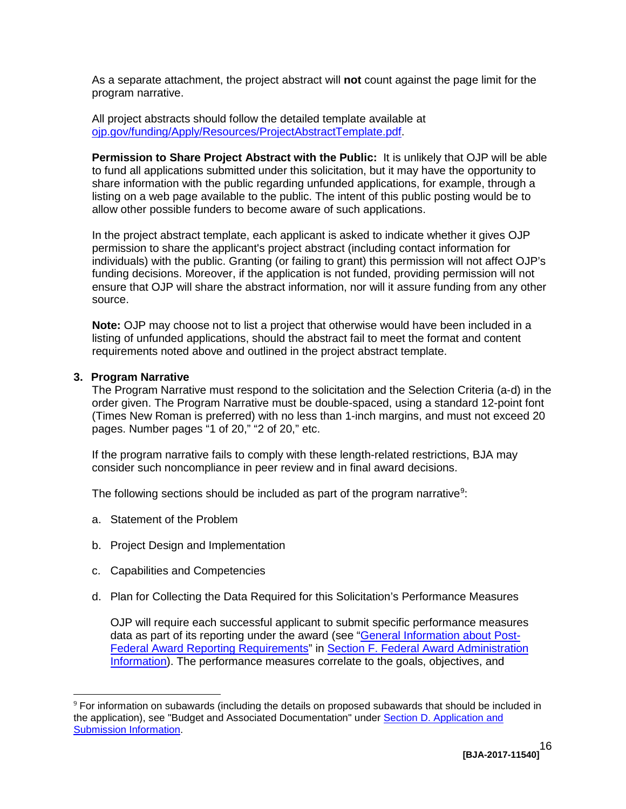As a separate attachment, the project abstract will **not** count against the page limit for the program narrative.

All project abstracts should follow the detailed template available at [ojp.gov/funding/Apply/Resources/ProjectAbstractTemplate.pdf.](http://ojp.gov/funding/Apply/Resources/ProjectAbstractTemplate.pdf)

 **Permission to Share Project Abstract with the Public:** It is unlikely that OJP will be able share information with the public regarding unfunded applications, for example, through a listing on a web page available to the public. The intent of this public posting would be to to fund all applications submitted under this solicitation, but it may have the opportunity to allow other possible funders to become aware of such applications.

 In the project abstract template, each applicant is asked to indicate whether it gives OJP funding decisions. Moreover, if the application is not funded, providing permission will not permission to share the applicant's project abstract (including contact information for individuals) with the public. Granting (or failing to grant) this permission will not affect OJP's ensure that OJP will share the abstract information, nor will it assure funding from any other source.

 **Note:** OJP may choose not to list a project that otherwise would have been included in a listing of unfunded applications, should the abstract fail to meet the format and content requirements noted above and outlined in the project abstract template.

#### **3. Program Narrative**

 $\overline{a}$ 

The Program Narrative must respond to the solicitation and the Selection Criteria (a-d) in the order given. The Program Narrative must be double-spaced, using a standard 12-point font (Times New Roman is preferred) with no less than 1-inch margins, and must not exceed 20 pages. Number pages "1 of 20," "2 of 20," etc.

If the program narrative fails to comply with these length-related restrictions, BJA may consider such noncompliance in peer review and in final award decisions.

The following sections should be included as part of the program narrative<sup>[9](#page-15-1)</sup>:

- a. Statement of the Problem
- b. Project Design and Implementation
- c. Capabilities and Competencies
- <span id="page-15-0"></span>d. Plan for Collecting the Data Required for this Solicitation's Performance Measures

OJP will require each successful applicant to submit specific performance measures data as part of its reporting under the award (see ["General Information about Post-](#page-32-0)[Federal Award Reporting Requirements"](#page-32-0) in [Section F. Federal Award Administration](#page-31-3)  [Information\)](#page-31-3). The performance measures correlate to the goals, objectives, and

<span id="page-15-1"></span> $9$  For information on subawards (including the details on proposed subawards that should be included in the application), see "Budget and Associated Documentation" under [Section D. Application and](#page-13-0)  [Submission Information.](#page-13-0)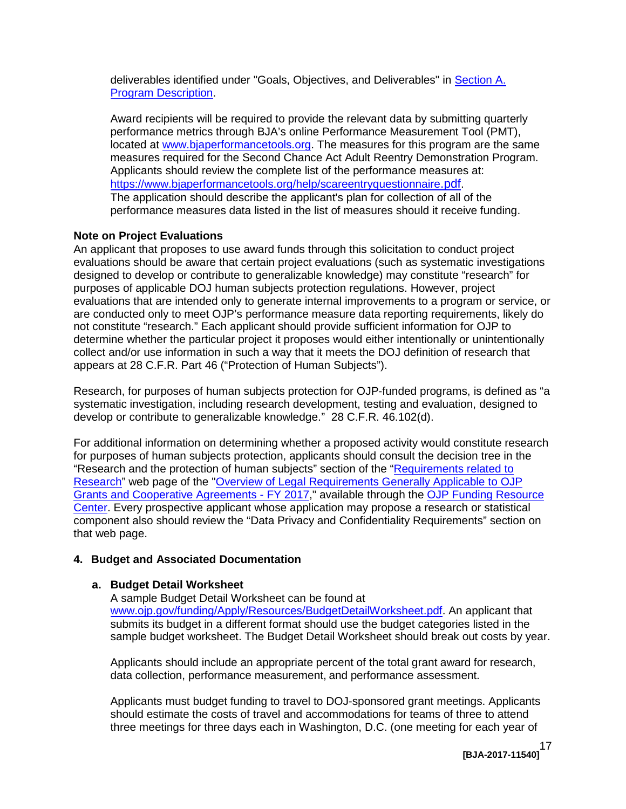deliverables identified under "Goals, Objectives, and Deliverables" in [Section A.](#page-3-0)  [Program Description.](#page-3-0)

 Award recipients will be required to provide the relevant data by submitting quarterly performance metrics through BJA's online Performance Measurement Tool (PMT), https://www.bjaperformancetools.org/help/scareentryquestionnaire.pdf. <u>https://www.bjaperformancetools.org/help/scareentryquestionnaire.pdf</u>.<br>The application should describe the applicant's plan for collection of all of the performance measures data listed in the list of measures should it receive funding. located at [www.bjaperformancetools.org.](http://www.bjaperformancetools.org/) The measures for this program are the same measures required for the Second Chance Act Adult Reentry Demonstration Program. Applicants should review the complete list of the performance measures at:

## **Note on Project Evaluations**

 designed to develop or contribute to generalizable knowledge) may constitute "research" for are conducted only to meet OJP's performance measure data reporting requirements, likely do not constitute "research." Each applicant should provide sufficient information for OJP to appears at 28 C.F.R. Part 46 ("Protection of Human Subjects"). An applicant that proposes to use award funds through this solicitation to conduct project evaluations should be aware that certain project evaluations (such as systematic investigations purposes of applicable DOJ human subjects protection regulations. However, project evaluations that are intended only to generate internal improvements to a program or service, or determine whether the particular project it proposes would either intentionally or unintentionally collect and/or use information in such a way that it meets the DOJ definition of research that

 develop or contribute to generalizable knowledge." 28 C.F.R. 46.102(d). Research, for purposes of human subjects protection for OJP-funded programs, is defined as "a systematic investigation, including research development, testing and evaluation, designed to

 for purposes of human subjects protection, applicants should consult the decision tree in the "Research and the protection of human subjects" section of the "<u>Requirements related to</u> For additional information on determining whether a proposed activity would constitute research [Research"](http://ojp.gov/funding/Explore/SolicitationRequirements/EvidenceResearchEvaluationRequirements.htm) web page of the ["Overview of Legal Requirements Generally Applicable to OJP](https://ojp.gov/funding/Explore/SolicitationRequirements/index.htm)  [Grants and Cooperative Agreements - FY 2017,](https://ojp.gov/funding/Explore/SolicitationRequirements/index.htm)" available through the [OJP Funding Resource](http://ojp.gov/funding/index.htm)  [Center.](http://ojp.gov/funding/index.htm) Every prospective applicant whose application may propose a research or statistical component also should review the "Data Privacy and Confidentiality Requirements" section on that web page.

# **4. Budget and Associated Documentation**

#### **a. Budget Detail Worksheet**

 submits its budget in a different format should use the budget categories listed in the sample budget worksheet. The Budget Detail Worksheet should break out costs by year. A sample Budget Detail Worksheet can be found at [www.ojp.gov/funding/Apply/Resources/BudgetDetailWorksheet.pdf.](http://ojp.gov/funding/Apply/Resources/BudgetDetailWorksheet.pdf) An applicant that

 Applicants should include an appropriate percent of the total grant award for research, data collection, performance measurement, and performance assessment.

 Applicants must budget funding to travel to DOJ-sponsored grant meetings. Applicants should estimate the costs of travel and accommodations for teams of three to attend three meetings for three days each in Washington, D.C. (one meeting for each year of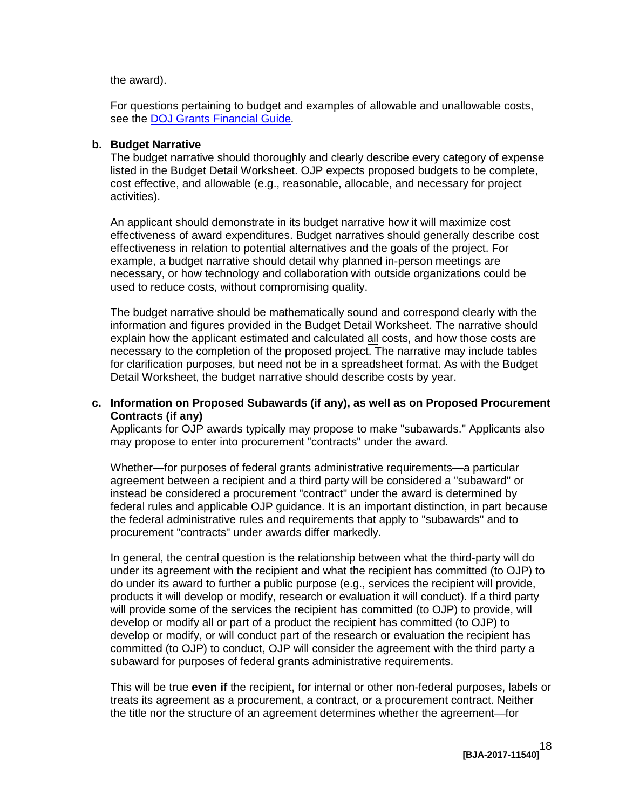#### the award).

For questions pertaining to budget and examples of allowable and unallowable costs, see the [DOJ Grants Financial Guide](http://ojp.gov/financialguide/DOJ/index.htm)*.* 

#### **b. Budget Narrative**

 cost effective, and allowable (e.g., reasonable, allocable, and necessary for project activities). The budget narrative should thoroughly and clearly describe every category of expense listed in the Budget Detail Worksheet. OJP expects proposed budgets to be complete,

 example, a budget narrative should detail why planned in-person meetings are used to reduce costs, without compromising quality. An applicant should demonstrate in its budget narrative how it will maximize cost effectiveness of award expenditures. Budget narratives should generally describe cost effectiveness in relation to potential alternatives and the goals of the project. For necessary, or how technology and collaboration with outside organizations could be

explain how the applicant estimated and calculated **all** costs, and how those costs are Detail Worksheet, the budget narrative should describe costs by year. The budget narrative should be mathematically sound and correspond clearly with the information and figures provided in the Budget Detail Worksheet. The narrative should necessary to the completion of the proposed project. The narrative may include tables for clarification purposes, but need not be in a spreadsheet format. As with the Budget

#### **c. Information on Proposed Subawards (if any), as well as on Proposed Procurement Contracts (if any)**

 Applicants for OJP awards typically may propose to make "subawards." Applicants also may propose to enter into procurement "contracts" under the award.

 federal rules and applicable OJP guidance. It is an important distinction, in part because Whether—for purposes of federal grants administrative requirements—a particular agreement between a recipient and a third party will be considered a "subaward" or instead be considered a procurement "contract" under the award is determined by the federal administrative rules and requirements that apply to "subawards" and to procurement "contracts" under awards differ markedly.

 do under its award to further a public purpose (e.g., services the recipient will provide, products it will develop or modify, research or evaluation it will conduct). If a third party will provide some of the services the recipient has committed (to OJP) to provide, will develop or modify all or part of a product the recipient has committed (to OJP) to subaward for purposes of federal grants administrative requirements. In general, the central question is the relationship between what the third-party will do under its agreement with the recipient and what the recipient has committed (to OJP) to develop or modify, or will conduct part of the research or evaluation the recipient has committed (to OJP) to conduct, OJP will consider the agreement with the third party a

 This will be true **even if** the recipient, for internal or other non-federal purposes, labels or treats its agreement as a procurement, a contract, or a procurement contract. Neither the title nor the structure of an agreement determines whether the agreement—for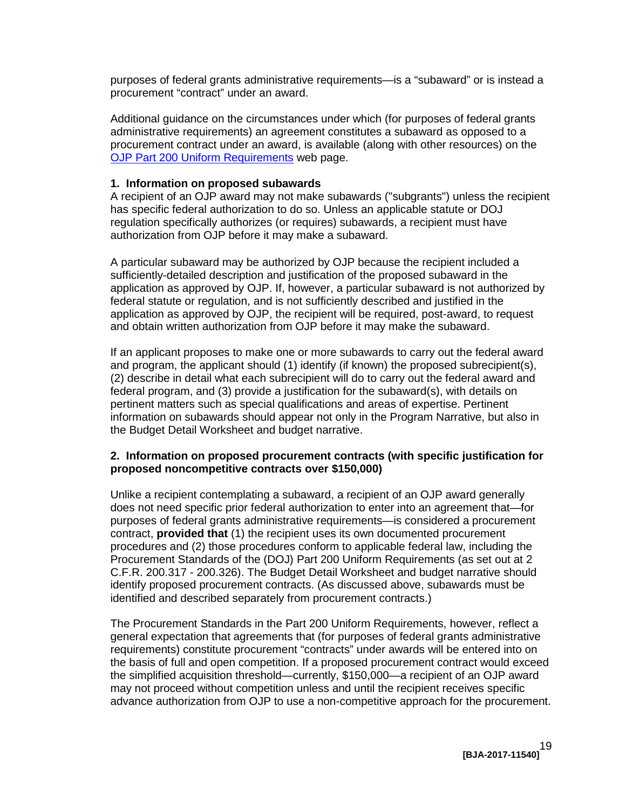purposes of federal grants administrative requirements—is a "subaward" or is instead a procurement "contract" under an award.

 Additional guidance on the circumstances under which (for purposes of federal grants [OJP Part 200 Uniform Requirements](http://ojp.gov/funding/Part200UniformRequirements.htm) web page. administrative requirements) an agreement constitutes a subaward as opposed to a procurement contract under an award, is available (along with other resources) on the

#### **1. Information on proposed subawards**

 regulation specifically authorizes (or requires) subawards, a recipient must have A recipient of an OJP award may not make subawards ("subgrants") unless the recipient has specific federal authorization to do so. Unless an applicable statute or DOJ authorization from OJP before it may make a subaward.

A particular subaward may be authorized by OJP because the recipient included a sufficiently-detailed description and justification of the proposed subaward in the application as approved by OJP. If, however, a particular subaward is not authorized by federal statute or regulation, and is not sufficiently described and justified in the application as approved by OJP, the recipient will be required, post-award, to request and obtain written authorization from OJP before it may make the subaward.

 (2) describe in detail what each subrecipient will do to carry out the federal award and If an applicant proposes to make one or more subawards to carry out the federal award and program, the applicant should (1) identify (if known) the proposed subrecipient(s), federal program, and (3) provide a justification for the subaward(s), with details on pertinent matters such as special qualifications and areas of expertise. Pertinent information on subawards should appear not only in the Program Narrative, but also in the Budget Detail Worksheet and budget narrative.

#### **2. Information on proposed procurement contracts (with specific justification for proposed noncompetitive contracts over \$150,000)**

 purposes of federal grants administrative requirements—is considered a procurement contract, **provided that** (1) the recipient uses its own documented procurement procedures and (2) those procedures conform to applicable federal law, including the C.F.R. 200.317 - 200.326). The Budget Detail Worksheet and budget narrative should Unlike a recipient contemplating a subaward, a recipient of an OJP award generally does not need specific prior federal authorization to enter into an agreement that—for Procurement Standards of the (DOJ) Part 200 Uniform Requirements (as set out at 2 identify proposed procurement contracts. (As discussed above, subawards must be identified and described separately from procurement contracts.)

 general expectation that agreements that (for purposes of federal grants administrative the basis of full and open competition. If a proposed procurement contract would exceed The Procurement Standards in the Part 200 Uniform Requirements, however, reflect a requirements) constitute procurement "contracts" under awards will be entered into on the simplified acquisition threshold—currently, \$150,000—a recipient of an OJP award may not proceed without competition unless and until the recipient receives specific advance authorization from OJP to use a non-competitive approach for the procurement.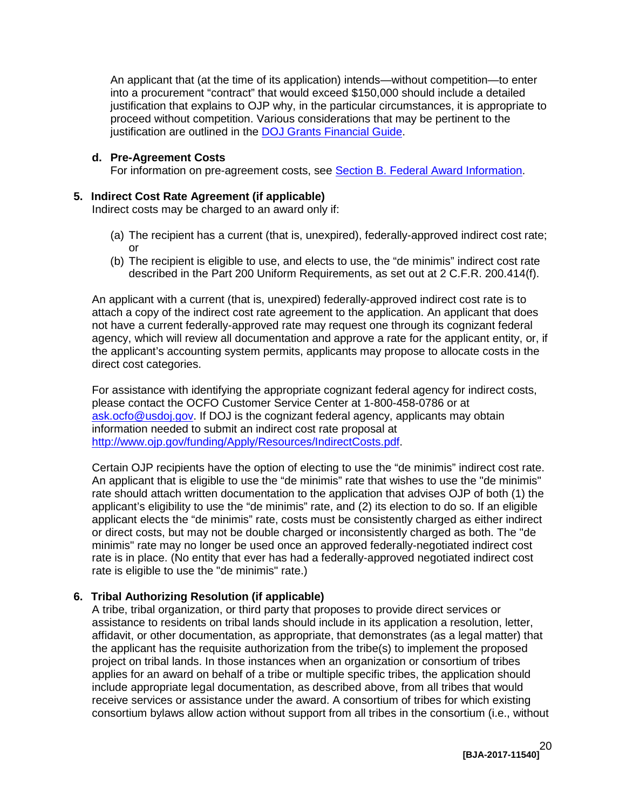An applicant that (at the time of its application) intends—without competition—to enter into a procurement "contract" that would exceed \$150,000 should include a detailed justification that explains to OJP why, in the particular circumstances, it is appropriate to proceed without competition. Various considerations that may be pertinent to the iustification are outlined in the [DOJ Grants Financial Guide.](http://ojp.gov/financialguide/DOJ/index.htm)

#### **d. Pre-Agreement Costs**

For information on pre-agreement costs, see [Section B. Federal Award Information.](#page-9-1)

#### **5. Indirect Cost Rate Agreement (if applicable)**

Indirect costs may be charged to an award only if:

- (a) The recipient has a current (that is, unexpired), federally-approved indirect cost rate; or
- (b) The recipient is eligible to use, and elects to use, the "de minimis" indirect cost rate described in the Part 200 Uniform Requirements, as set out at 2 C.F.R. 200.414(f).

 attach a copy of the indirect cost rate agreement to the application. An applicant that does An applicant with a current (that is, unexpired) federally-approved indirect cost rate is to not have a current federally-approved rate may request one through its cognizant federal agency, which will review all documentation and approve a rate for the applicant entity, or, if the applicant's accounting system permits, applicants may propose to allocate costs in the direct cost categories.

 For assistance with identifying the appropriate cognizant federal agency for indirect costs, please contact the OCFO Customer Service Center at 1-800-458-0786 or at [ask.ocfo@usdoj.gov.](mailto:ask.ocfo@usdoj.gov) If DOJ is the cognizant federal agency, applicants may obtain information needed to submit an indirect cost rate proposal at [http://www.ojp.gov/funding/Apply/Resources/IndirectCosts.pdf.](http://www.ojp.gov/funding/Apply/Resources/IndirectCosts.pdf)

 Certain OJP recipients have the option of electing to use the "de minimis" indirect cost rate. An applicant that is eligible to use the "de minimis" rate that wishes to use the "de minimis" applicant elects the "de minimis" rate, costs must be consistently charged as either indirect rate is eligible to use the "de minimis" rate.) rate should attach written documentation to the application that advises OJP of both (1) the applicant's eligibility to use the "de minimis" rate, and (2) its election to do so. If an eligible or direct costs, but may not be double charged or inconsistently charged as both. The "de minimis" rate may no longer be used once an approved federally-negotiated indirect cost rate is in place. (No entity that ever has had a federally-approved negotiated indirect cost

#### **6. Tribal Authorizing Resolution (if applicable)**

 affidavit, or other documentation, as appropriate, that demonstrates (as a legal matter) that consortium bylaws allow action without support from all tribes in the consortium (i.e., without A tribe, tribal organization, or third party that proposes to provide direct services or assistance to residents on tribal lands should include in its application a resolution, letter, the applicant has the requisite authorization from the tribe(s) to implement the proposed project on tribal lands. In those instances when an organization or consortium of tribes applies for an award on behalf of a tribe or multiple specific tribes, the application should include appropriate legal documentation, as described above, from all tribes that would receive services or assistance under the award. A consortium of tribes for which existing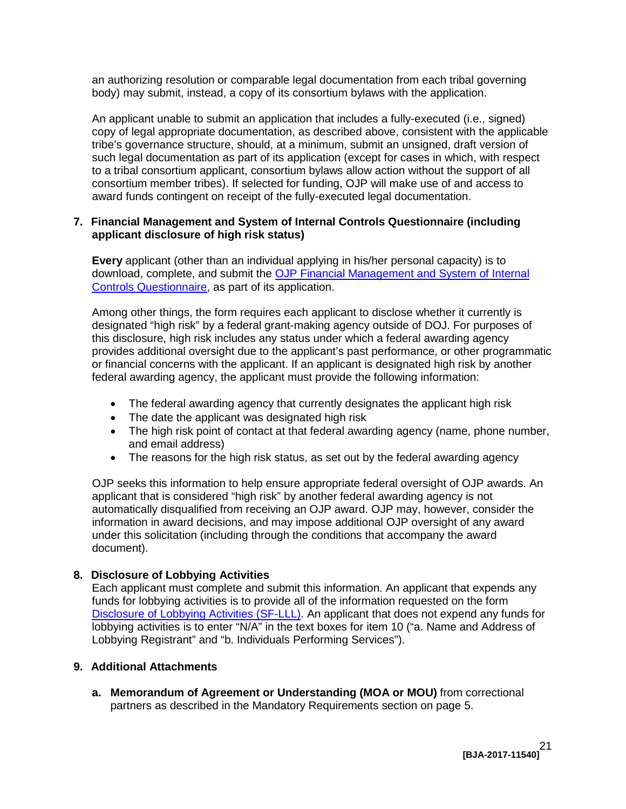an authorizing resolution or comparable legal documentation from each tribal governing body) may submit, instead, a copy of its consortium bylaws with the application.

 tribe's governance structure, should, at a minimum, submit an unsigned, draft version of An applicant unable to submit an application that includes a fully-executed (i.e., signed) copy of legal appropriate documentation, as described above, consistent with the applicable such legal documentation as part of its application (except for cases in which, with respect to a tribal consortium applicant, consortium bylaws allow action without the support of all consortium member tribes). If selected for funding, OJP will make use of and access to award funds contingent on receipt of the fully-executed legal documentation.

#### **7. Financial Management and System of Internal Controls Questionnaire (including applicant disclosure of high risk status)**

download, complete, and submit the OJP Financial Management and System of Internal **Every** applicant (other than an individual applying in his/her personal capacity) is to [Controls Questionnaire,](http://ojp.gov/funding/Apply/Resources/FinancialCapability.pdf) as part of its application.

 Among other things, the form requires each applicant to disclose whether it currently is designated "high risk" by a federal grant-making agency outside of DOJ. For purposes of this disclosure, high risk includes any status under which a federal awarding agency provides additional oversight due to the applicant's past performance, or other programmatic or financial concerns with the applicant. If an applicant is designated high risk by another federal awarding agency, the applicant must provide the following information:

- The federal awarding agency that currently designates the applicant high risk
- The date the applicant was designated high risk
- The high risk point of contact at that federal awarding agency (name, phone number, and email address)
- The reasons for the high risk status, as set out by the federal awarding agency

OJP seeks this information to help ensure appropriate federal oversight of OJP awards. An applicant that is considered "high risk" by another federal awarding agency is not automatically disqualified from receiving an OJP award. OJP may, however, consider the information in award decisions, and may impose additional OJP oversight of any award under this solicitation (including through the conditions that accompany the award document).

#### **8. Disclosure of Lobbying Activities**

 funds for lobbying activities is to provide all of the information requested on the form Each applicant must complete and submit this information. An applicant that expends any [Disclosure of Lobbying Activities \(SF-LLL\).](http://ojp.gov/funding/Apply/Resources/Disclosure.pdf) An applicant that does not expend any funds for lobbying activities is to enter "N/A" in the text boxes for item 10 ("a. Name and Address of Lobbying Registrant" and "b. Individuals Performing Services").

#### **9. Additional Attachments**

**a. Memorandum of Agreement or Understanding (MOA or MOU)** from correctional partners as described in the Mandatory Requirements section on page 5.

> **[BJA-2017-11540]**  21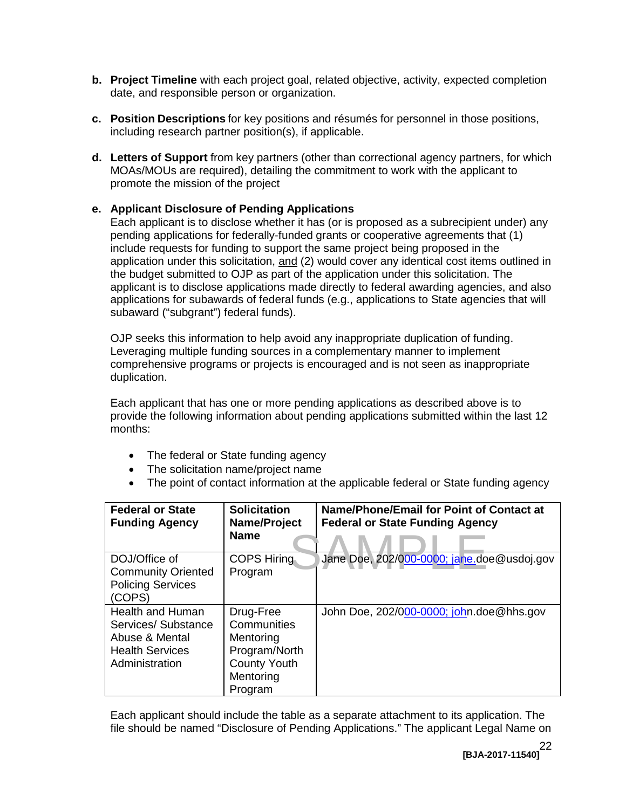- **b.** Project Timeline with each project goal, related objective, activity, expected completion date, and responsible person or organization.
- **c. Position Descriptions** for key positions and résumés for personnel in those positions, including research partner position(s), if applicable.
- **d. Letters of Support** from key partners (other than correctional agency partners, for which MOAs/MOUs are required), detailing the commitment to work with the applicant to promote the mission of the project

# **e. Applicant Disclosure of Pending Applications**

 Each applicant is to disclose whether it has (or is proposed as a subrecipient under) any application under this solicitation, and (2) would cover any identical cost items outlined in the budget submitted to OJP as part of the application under this solicitation. The applicant is to disclose applications made directly to federal awarding agencies, and also applications for subawards of federal funds (e.g., applications to State agencies that will pending applications for federally-funded grants or cooperative agreements that (1) include requests for funding to support the same project being proposed in the subaward ("subgrant") federal funds).

 Leveraging multiple funding sources in a complementary manner to implement OJP seeks this information to help avoid any inappropriate duplication of funding. comprehensive programs or projects is encouraged and is not seen as inappropriate duplication.

Each applicant that has one or more pending applications as described above is to provide the following information about pending applications submitted within the last 12 months:

- The federal or State funding agency
- The solicitation name/project name
- The point of contact information at the applicable federal or State funding agency

| <b>Federal or State</b><br><b>Funding Agency</b>                                                             | <b>Solicitation</b><br>Name/Project<br><b>Name</b>                                                    | Name/Phone/Email for Point of Contact at<br><b>Federal or State Funding Agency</b> |
|--------------------------------------------------------------------------------------------------------------|-------------------------------------------------------------------------------------------------------|------------------------------------------------------------------------------------|
| DOJ/Office of<br><b>Community Oriented</b><br><b>Policing Services</b><br>(COPS)                             | <b>COPS Hiring</b><br>Program                                                                         | Jane Doe, 202/000-0000; jane.doe@usdoj.gov                                         |
| <b>Health and Human</b><br>Services/ Substance<br>Abuse & Mental<br><b>Health Services</b><br>Administration | Drug-Free<br>Communities<br>Mentoring<br>Program/North<br><b>County Youth</b><br>Mentoring<br>Program | John Doe, 202/000-0000; john.doe@hhs.gov                                           |

Each applicant should include the table as a separate attachment to its application. The file should be named "Disclosure of Pending Applications." The applicant Legal Name on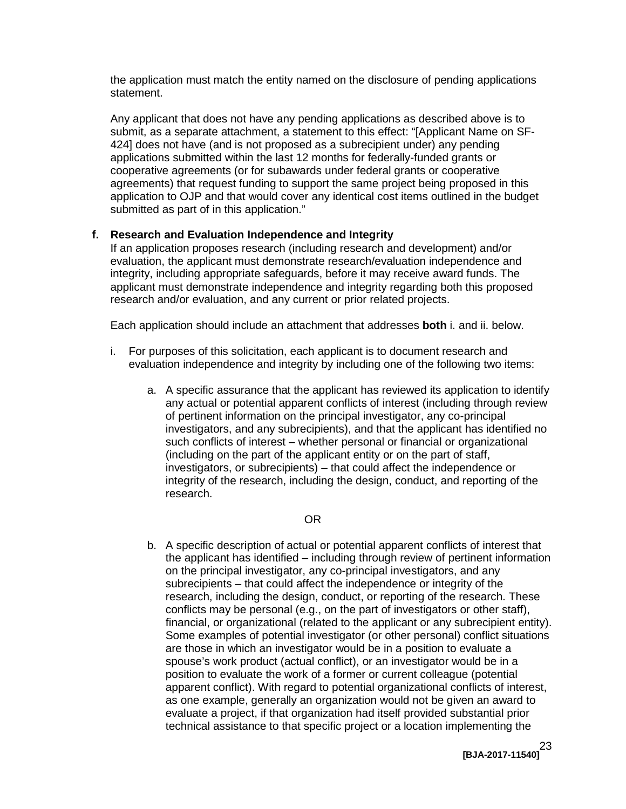the application must match the entity named on the disclosure of pending applications statement.

 applications submitted within the last 12 months for federally-funded grants or cooperative agreements (or for subawards under federal grants or cooperative submitted as part of in this application." Any applicant that does not have any pending applications as described above is to submit, as a separate attachment, a statement to this effect: "[Applicant Name on SF-424] does not have (and is not proposed as a subrecipient under) any pending agreements) that request funding to support the same project being proposed in this application to OJP and that would cover any identical cost items outlined in the budget

#### **f. Research and Evaluation Independence and Integrity**

 If an application proposes research (including research and development) and/or integrity, including appropriate safeguards, before it may receive award funds. The evaluation, the applicant must demonstrate research/evaluation independence and applicant must demonstrate independence and integrity regarding both this proposed research and/or evaluation, and any current or prior related projects.

Each application should include an attachment that addresses **both** i. and ii. below.

- i. For purposes of this solicitation, each applicant is to document research and evaluation independence and integrity by including one of the following two items:
	- investigators, and any subrecipients), and that the applicant has identified no (including on the part of the applicant entity or on the part of staff, integrity of the research, including the design, conduct, and reporting of the a. A specific assurance that the applicant has reviewed its application to identify any actual or potential apparent conflicts of interest (including through review of pertinent information on the principal investigator, any co-principal such conflicts of interest – whether personal or financial or organizational investigators, or subrecipients) – that could affect the independence or research.

#### OR

b. A specific description of actual or potential apparent conflicts of interest that the applicant has identified – including through review of pertinent information subrecipients – that could affect the independence or integrity of the Some examples of potential investigator (or other personal) conflict situations position to evaluate the work of a former or current colleague (potential on the principal investigator, any co-principal investigators, and any research, including the design, conduct, or reporting of the research. These conflicts may be personal (e.g., on the part of investigators or other staff), financial, or organizational (related to the applicant or any subrecipient entity). are those in which an investigator would be in a position to evaluate a spouse's work product (actual conflict), or an investigator would be in a apparent conflict). With regard to potential organizational conflicts of interest, as one example, generally an organization would not be given an award to evaluate a project, if that organization had itself provided substantial prior technical assistance to that specific project or a location implementing the

> **[BJA-2017-11540]**  23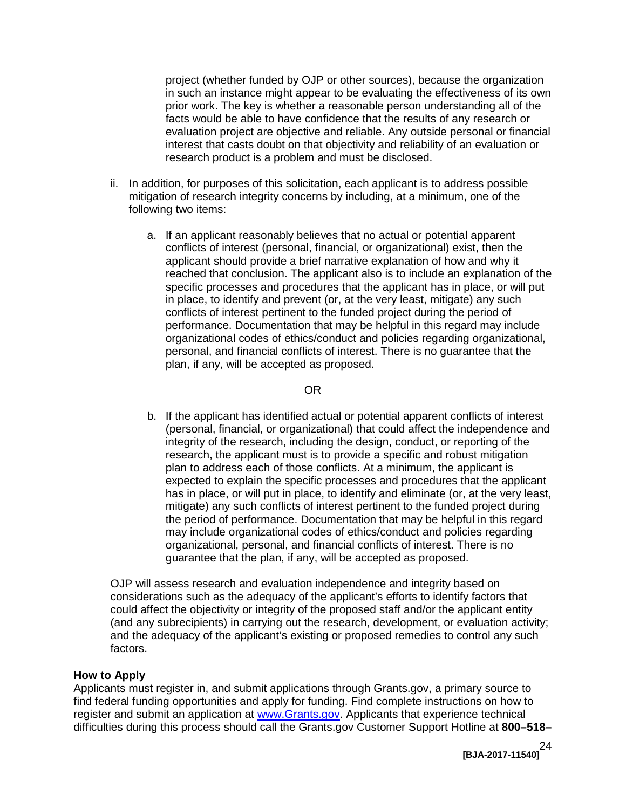project (whether funded by OJP or other sources), because the organization evaluation project are objective and reliable. Any outside personal or financial in such an instance might appear to be evaluating the effectiveness of its own prior work. The key is whether a reasonable person understanding all of the facts would be able to have confidence that the results of any research or interest that casts doubt on that objectivity and reliability of an evaluation or research product is a problem and must be disclosed.

- ii. In addition, for purposes of this solicitation, each applicant is to address possible mitigation of research integrity concerns by including, at a minimum, one of the following two items:
	- a. If an applicant reasonably believes that no actual or potential apparent conflicts of interest (personal, financial, or organizational) exist, then the reached that conclusion. The applicant also is to include an explanation of the conflicts of interest pertinent to the funded project during the period of applicant should provide a brief narrative explanation of how and why it specific processes and procedures that the applicant has in place, or will put in place, to identify and prevent (or, at the very least, mitigate) any such performance. Documentation that may be helpful in this regard may include organizational codes of ethics/conduct and policies regarding organizational, personal, and financial conflicts of interest. There is no guarantee that the plan, if any, will be accepted as proposed.

#### OR

b. If the applicant has identified actual or potential apparent conflicts of interest plan to address each of those conflicts. At a minimum, the applicant is organizational, personal, and financial conflicts of interest. There is no (personal, financial, or organizational) that could affect the independence and integrity of the research, including the design, conduct, or reporting of the research, the applicant must is to provide a specific and robust mitigation expected to explain the specific processes and procedures that the applicant has in place, or will put in place, to identify and eliminate (or, at the very least, mitigate) any such conflicts of interest pertinent to the funded project during the period of performance. Documentation that may be helpful in this regard may include organizational codes of ethics/conduct and policies regarding guarantee that the plan, if any, will be accepted as proposed.

 considerations such as the adequacy of the applicant's efforts to identify factors that could affect the objectivity or integrity of the proposed staff and/or the applicant entity OJP will assess research and evaluation independence and integrity based on (and any subrecipients) in carrying out the research, development, or evaluation activity; and the adequacy of the applicant's existing or proposed remedies to control any such factors.

#### <span id="page-23-1"></span><span id="page-23-0"></span> **How to Apply**

 Applicants must register in, and submit applications through Grants.gov, a primary source to find federal funding opportunities and apply for funding. Find complete instructions on how to register and submit an application at [www.Grants.gov.](http://www.grants.gov/) Applicants that experience technical difficulties during this process should call the Grants.gov Customer Support Hotline at **800–518–**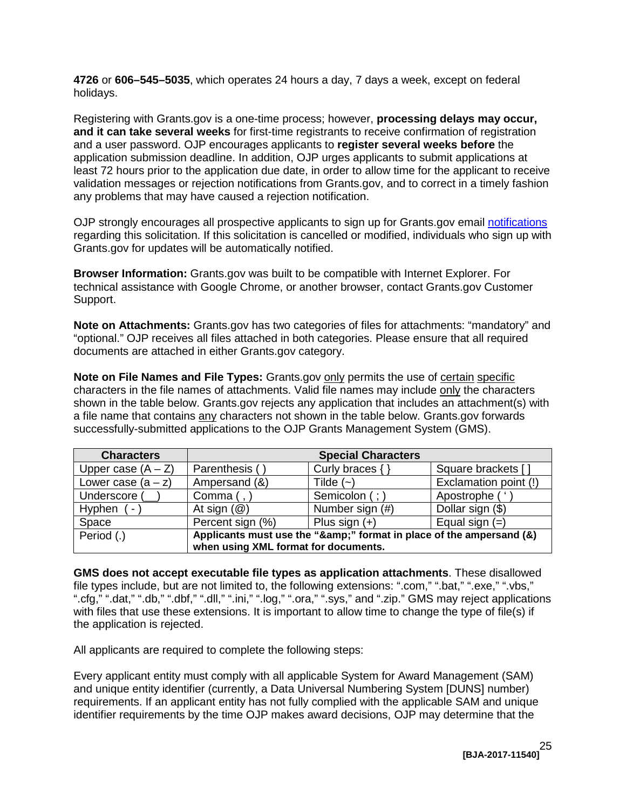holidays. **4726** or **606–545–5035**, which operates 24 hours a day, 7 days a week, except on federal

Registering with Grants.gov is a one-time process; however, **processing delays may occur, and it can take several weeks** for first-time registrants to receive confirmation of registration and a user password. OJP encourages applicants to **register several weeks before** the application submission deadline. In addition, OJP urges applicants to submit applications at least 72 hours prior to the application due date, in order to allow time for the applicant to receive validation messages or rejection notifications from Grants.gov, and to correct in a timely fashion any problems that may have caused a rejection notification.

OJP strongly encourages all prospective applicants to sign up for Grants.gov email [notifications](http://www.grants.gov/web/grants/manage-subscriptions.html)  regarding this solicitation. If this solicitation is cancelled or modified, individuals who sign up with Grants.gov for updates will be automatically notified.

**Browser Information:** Grants.gov was built to be compatible with Internet Explorer. For technical assistance with Google Chrome, or another browser, contact Grants.gov Customer Support.

 **Note on Attachments:** Grants.gov has two categories of files for attachments: "mandatory" and documents are attached in either Grants.gov category. "optional." OJP receives all files attached in both categories. Please ensure that all required

**Note on File Names and File Types:** Grants.gov **only permits the use of certain specific** characters in the file names of attachments. Valid file names may include only the characters shown in the table below. Grants.gov rejects any application that includes an attachment(s) with a file name that contains <u>any</u> characters not shown in the table below. Grants.gov forwards successfully-submitted applications to the OJP Grants Management System (GMS).

| <b>Characters</b>                    |                                                                  | <b>Special Characters</b> |                       |
|--------------------------------------|------------------------------------------------------------------|---------------------------|-----------------------|
| Upper case $(A - Z)$                 | Parenthesis (                                                    | Curly braces $\{ \}$      | Square brackets [     |
| Lower case $(a - z)$                 | Ampersand (&)                                                    | Tilde $(-)$               | Exclamation point (!) |
| Underscore (                         | Comma $($ , $)$                                                  | Semicolon (; )            | Apostrophe ('         |
| Hyphen<br>$\blacksquare$             | At sign $(\mathcal{Q})$                                          | Number sign (#)           | Dollar sign (\$)      |
| Space                                | Percent sign (%)                                                 | Plus sign $(+)$           | Equal sign $(=)$      |
| Period (.)                           | Applicants must use the "&" format in place of the ampersand (&) |                           |                       |
| when using XML format for documents. |                                                                  |                           |                       |

 file types include, but are not limited to, the following extensions: ".com," ".bat," ".exe," ".vbs," ".cfg," ".dat," ".db," ".dbf," ".dll," ".ini," ".log," ".ora," ".sys," and ".zip." GMS may reject applications with files that use these extensions. It is important to allow time to change the type of file(s) if **GMS does not accept executable file types as application attachments**. These disallowed the application is rejected.

All applicants are required to complete the following steps:

 Every applicant entity must comply with all applicable System for Award Management (SAM) and unique entity identifier (currently, a Data Universal Numbering System [DUNS] number) requirements. If an applicant entity has not fully complied with the applicable SAM and unique identifier requirements by the time OJP makes award decisions, OJP may determine that the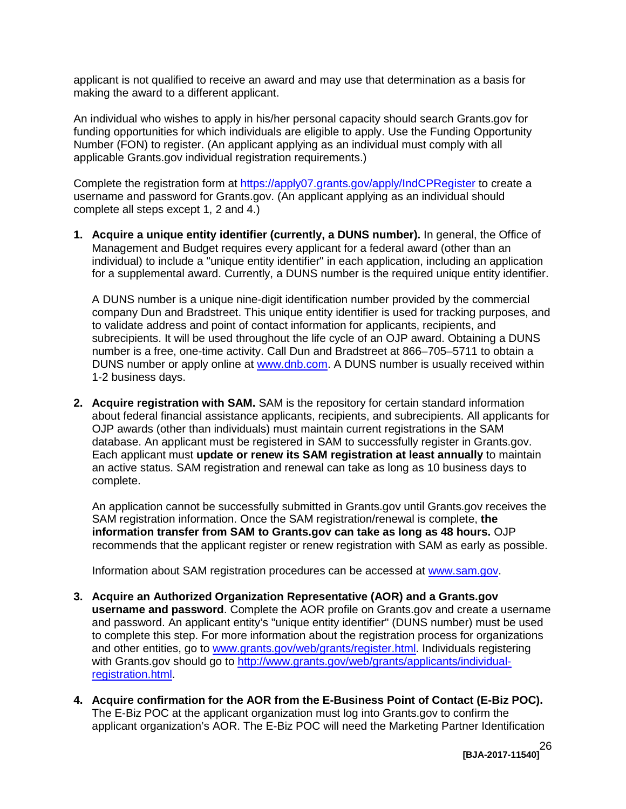applicant is not qualified to receive an award and may use that determination as a basis for making the award to a different applicant.

 An individual who wishes to apply in his/her personal capacity should search Grants.gov for Number (FON) to register. (An applicant applying as an individual must comply with all funding opportunities for which individuals are eligible to apply. Use the Funding Opportunity applicable Grants.gov individual registration requirements.)

Complete the registration form at<https://apply07.grants.gov/apply/IndCPRegister>to create a username and password for Grants.gov. (An applicant applying as an individual should complete all steps except 1, 2 and 4.)

 Management and Budget requires every applicant for a federal award (other than an individual) to include a "unique entity identifier" in each application, including an application **1. Acquire a unique entity identifier (currently, a DUNS number).** In general, the Office of for a supplemental award. Currently, a DUNS number is the required unique entity identifier.

DUNS number or apply online at [www.dnb.com.](http://www.dnb.com/) A DUNS number is usually received within A DUNS number is a unique nine-digit identification number provided by the commercial company Dun and Bradstreet. This unique entity identifier is used for tracking purposes, and to validate address and point of contact information for applicants, recipients, and subrecipients. It will be used throughout the life cycle of an OJP award. Obtaining a DUNS number is a free, one-time activity. Call Dun and Bradstreet at 866–705–5711 to obtain a 1-2 business days.

**2. Acquire registration with SAM.** SAM is the repository for certain standard information about federal financial assistance applicants, recipients, and subrecipients. All applicants for OJP awards (other than individuals) must maintain current registrations in the SAM database. An applicant must be registered in SAM to successfully register in Grants.gov. Each applicant must **update or renew its SAM registration at least annually** to maintain an active status. SAM registration and renewal can take as long as 10 business days to complete.

 An application cannot be successfully submitted in Grants.gov until Grants.gov receives the SAM registration information. Once the SAM registration/renewal is complete, **the information transfer from SAM to Grants.gov can take as long as 48 hours.** OJP recommends that the applicant register or renew registration with SAM as early as possible.

Information about SAM registration procedures can be accessed at [www.sam.gov.](https://www.sam.gov/portal/SAM/#1)

- to complete this step. For more information about the registration process for organizations **3. Acquire an Authorized Organization Representative (AOR) and a Grants.gov username and password**. Complete the AOR profile on Grants.gov and create a username and password. An applicant entity's "unique entity identifier" (DUNS number) must be used and other entities, go to [www.grants.gov/web/grants/register.html.](http://www.grants.gov/web/grants/register.html) Individuals registering with Grants.gov should go to [http://www.grants.gov/web/grants/applicants/individual](http://www.grants.gov/web/grants/applicants/individual-registration.html)[registration.html.](http://www.grants.gov/web/grants/applicants/individual-registration.html)
- **4. Acquire confirmation for the AOR from the E-Business Point of Contact (E-Biz POC).**  The E-Biz POC at the applicant organization must log into Grants.gov to confirm the applicant organization's AOR. The E-Biz POC will need the Marketing Partner Identification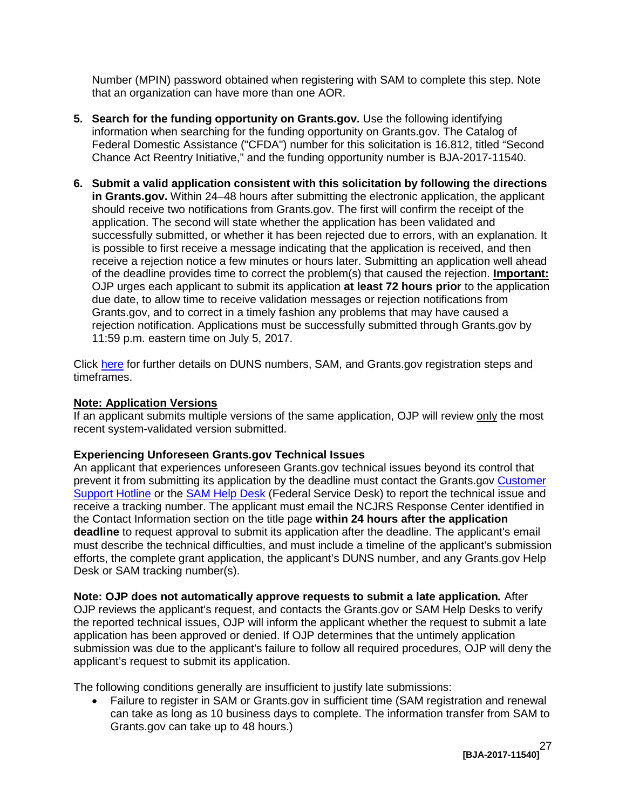Number (MPIN) password obtained when registering with SAM to complete this step. Note that an organization can have more than one AOR.

- **5.** Search for the funding opportunity on Grants.gov. Use the following identifying information when searching for the funding opportunity on Grants.gov. The Catalog of Federal Domestic Assistance ("CFDA") number for this solicitation is 16.812, titled "Second Chance Act Reentry Initiative," and the funding opportunity number is BJA-2017-11540.
- should receive two notifications from Grants.gov. The first will confirm the receipt of the is possible to first receive a message indicating that the application is received, and then due date, to allow time to receive validation messages or rejection notifications from 11:59 p.m. eastern time on July 5, 2017. **6. Submit a valid application consistent with this solicitation by following the directions in Grants.gov.** Within 24–48 hours after submitting the electronic application, the applicant application. The second will state whether the application has been validated and successfully submitted, or whether it has been rejected due to errors, with an explanation. It receive a rejection notice a few minutes or hours later. Submitting an application well ahead of the deadline provides time to correct the problem(s) that caused the rejection. **Important:**  OJP urges each applicant to submit its application **at least 72 hours prior** to the application Grants.gov, and to correct in a timely fashion any problems that may have caused a rejection notification. Applications must be successfully submitted through Grants.gov by

Click <u>here</u> for further details on DUNS numbers, SAM, and Grants.gov registration steps and timeframes.

# **Note: Application Versions**

 recent system-validated version submitted. If an applicant submits multiple versions of the same application, OJP will review only the most

#### **Experiencing Unforeseen Grants.gov Technical Issues**

prevent it from submitting its application by the deadline must contact the Grants.gov Customer receive a tracking number. The applicant must email the NCJRS Response Center identified in the Contact Information section on the title page **within 24 hours after the application**  Desk or SAM tracking number(s). An applicant that experiences unforeseen Grants.gov technical issues beyond its control that [Support Hotline](http://www.grants.gov/web/grants/about/contact-us.html) or the [SAM Help Desk](https://www.fsd.gov/fsd-gov/home.do) (Federal Service Desk) to report the technical issue and **deadline** to request approval to submit its application after the deadline. The applicant's email must describe the technical difficulties, and must include a timeline of the applicant's submission efforts, the complete grant application, the applicant's DUNS number, and any Grants.gov Help

 **Note: OJP does not automatically approve requests to submit a late application***.* After OJP reviews the applicant's request, and contacts the Grants.gov or SAM Help Desks to verify applicant's request to submit its application. the reported technical issues, OJP will inform the applicant whether the request to submit a late application has been approved or denied. If OJP determines that the untimely application submission was due to the applicant's failure to follow all required procedures, OJP will deny the

The following conditions generally are insufficient to justify late submissions:

 can take as long as 10 business days to complete. The information transfer from SAM to Grants.gov can take up to 48 hours.) • Failure to register in SAM or Grants.gov in sufficient time (SAM registration and renewal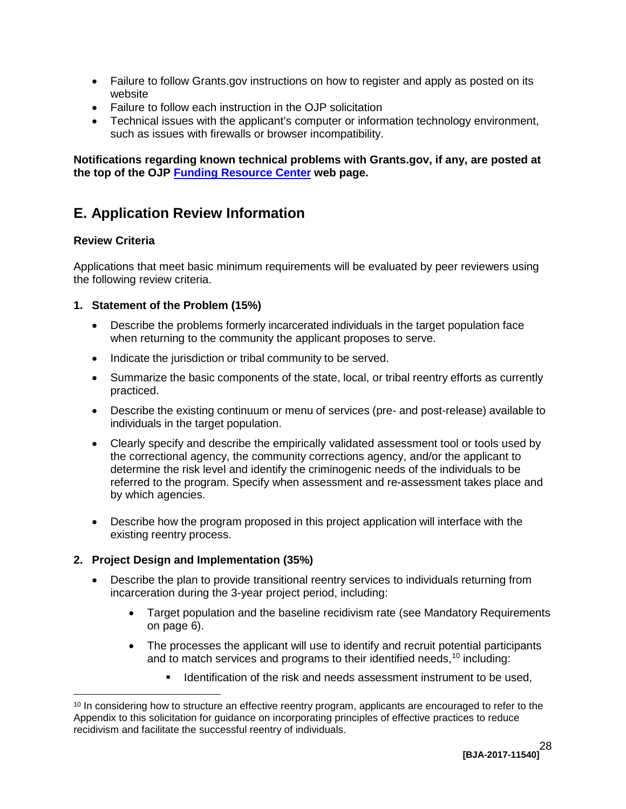- Failure to follow Grants.gov instructions on how to register and apply as posted on its website
- Failure to follow each instruction in the OJP solicitation
- such as issues with firewalls or browser incompatibility. • Technical issues with the applicant's computer or information technology environment,

 **the top of the OJP [Funding Resource Center](http://ojp.gov/funding/index.htm) web page. Notifications regarding known technical problems with Grants.gov, if any, are posted at**

# <span id="page-27-0"></span>**E. Application Review Information**

# <span id="page-27-1"></span> **Review Criteria**

Applications that meet basic minimum requirements will be evaluated by peer reviewers using the following review criteria.

## **1. Statement of the Problem (15%)**

- Describe the problems formerly incarcerated individuals in the target population face when returning to the community the applicant proposes to serve.
- Indicate the jurisdiction or tribal community to be served.
- Summarize the basic components of the state, local, or tribal reentry efforts as currently practiced.
- Describe the existing continuum or menu of services (pre- and post-release) available to individuals in the target population.
- • Clearly specify and describe the empirically validated assessment tool or tools used by the correctional agency, the community corrections agency, and/or the applicant to determine the risk level and identify the criminogenic needs of the individuals to be referred to the program. Specify when assessment and re-assessment takes place and by which agencies.
- Describe how the program proposed in this project application will interface with the existing reentry process.

# <span id="page-27-2"></span> **2. Project Design and Implementation (35%)**

- Describe the plan to provide transitional reentry services to individuals returning from incarceration during the 3-year project period, including:
	- Target population and the baseline recidivism rate (see Mandatory Requirements on page [6\)](#page-5-2).
	- The processes the applicant will use to identify and recruit potential participants and to match services and programs to their identified needs,  $^{10}$  $^{10}$  $^{10}$  including:
		- **IDENTIFICATE IS A LOCATE 10 ISON THE VISTOR ISON THAT ISON THAT ISON ISONAL ISONAL ISONAL ISONAL ISONAL ISONAL ISONAL ISONAL ISONAL ISONAL ISONAL ISONAL ISONAL ISONAL ISONAL ISONAL ISONAL ISONAL ISONAL ISONAL ISONAL ISONA**

<span id="page-27-3"></span> $\overline{a}$  $10$  In considering how to structure an effective reentry program, applicants are encouraged to refer to the Appendix to this solicitation for guidance on incorporating principles of effective practices to reduce recidivism and facilitate the successful reentry of individuals.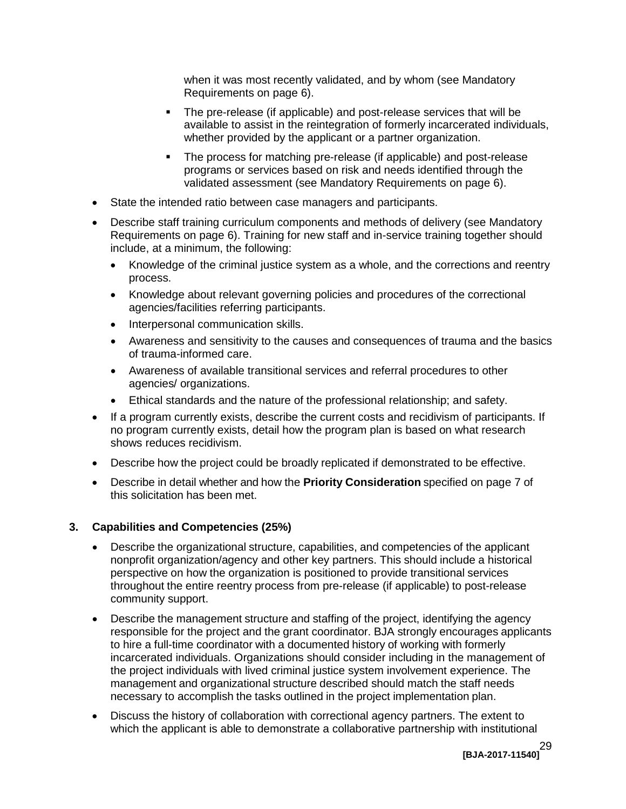when it was most recently validated, and by whom (see Mandatory Requirements on page [6\)](#page-5-3).

- The pre-release (if applicable) and post-release services that will be available to assist in the reintegration of formerly incarcerated individuals, whether provided by the applicant or a partner organization.
- **The process for matching pre-release (if applicable) and post-release**  programs or services based on risk and needs identified through the validated assessment (see Mandatory Requirements on page [6\)](#page-5-3).
- State the intended ratio between case managers and participants.
- Describe staff training curriculum components and methods of delivery (see Mandatory include, at a minimum, the following: Requirements on page 6). Training for new staff and in-service training together should
	- Knowledge of the criminal justice system as a whole, and the corrections and reentry process.
	- Knowledge about relevant governing policies and procedures of the correctional agencies/facilities referring participants.
	- Interpersonal communication skills.
	- Awareness and sensitivity to the causes and consequences of trauma and the basics of trauma-informed care.
	- Awareness of available transitional services and referral procedures to other agencies/ organizations.
	- • Ethical standards and the nature of the professional relationship; and safety.
- If a program currently exists, describe the current costs and recidivism of participants. If no program currently exists, detail how the program plan is based on what research shows reduces recidivism.
- Describe how the project could be broadly replicated if demonstrated to be effective.
- • Describe in detail whether and how the **Priority Consideration** specified on page 7 of this solicitation has been met.

# **3. Capabilities and Competencies (25%)**

- nonprofit organization/agency and other key partners. This should include a historical perspective on how the organization is positioned to provide transitional services throughout the entire reentry process from pre-release (if applicable) to post-release community support. Describe the organizational structure, capabilities, and competencies of the applicant
- Describe the management structure and staffing of the project, identifying the agency responsible for the project and the grant coordinator. BJA strongly encourages applicants to hire a full-time coordinator with a documented history of working with formerly management and organizational structure described should match the staff needs necessary to accomplish the tasks outlined in the project implementation plan. incarcerated individuals. Organizations should consider including in the management of the project individuals with lived criminal justice system involvement experience. The
- Discuss the history of collaboration with correctional agency partners. The extent to which the applicant is able to demonstrate a collaborative partnership with institutional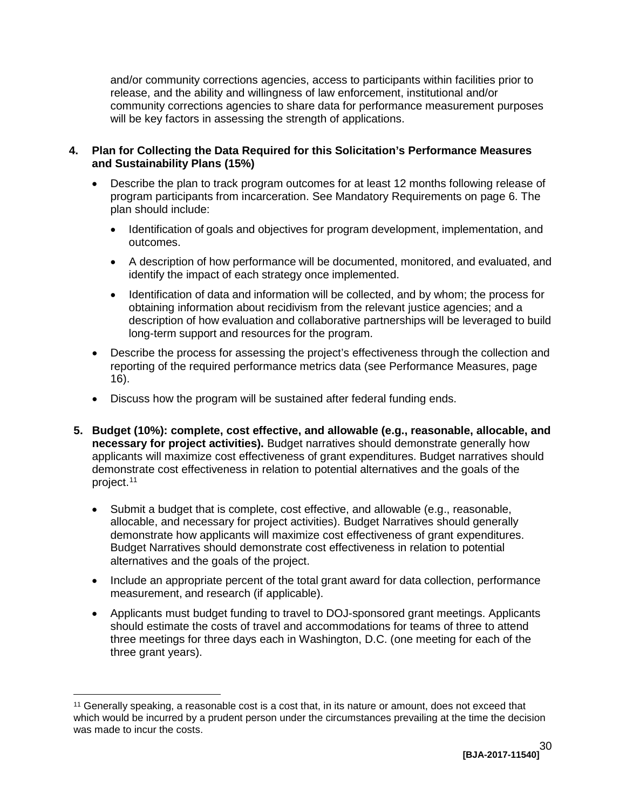and/or community corrections agencies, access to participants within facilities prior to release, and the ability and willingness of law enforcement, institutional and/or community corrections agencies to share data for performance measurement purposes will be key factors in assessing the strength of applications.

#### **4. Plan for Collecting the Data Required for this Solicitation's Performance Measures and Sustainability Plans (15%)**

- Describe the plan to track program outcomes for at least 12 months following release of program participants from incarceration. See Mandatory Requirements on page 6. The plan should include:
	- Identification of goals and objectives for program development, implementation, and outcomes.
	- A description of how performance will be documented, monitored, and evaluated, and identify the impact of each strategy once implemented.
	- Identification of data and information will be collected, and by whom; the process for obtaining information about recidivism from the relevant justice agencies; and a description of how evaluation and collaborative partnerships will be leveraged to build long-term support and resources for the program.
- Describe the process for assessing the project's effectiveness through the collection and reporting of the required performance metrics data (see Performance Measures, page 16).
- Discuss how the program will be sustained after federal funding ends.
- **5. Budget (10%): complete, cost effective, and allowable (e.g., reasonable, allocable, and necessary for project activities).** Budget narratives should demonstrate generally how demonstrate cost effectiveness in relation to potential alternatives and the goals of the applicants will maximize cost effectiveness of grant expenditures. Budget narratives should project. [11](#page-29-0)
	- Submit a budget that is complete, cost effective, and allowable (e.g., reasonable, allocable, and necessary for project activities). Budget Narratives should generally demonstrate how applicants will maximize cost effectiveness of grant expenditures. Budget Narratives should demonstrate cost effectiveness in relation to potential alternatives and the goals of the project.
	- Include an appropriate percent of the total grant award for data collection, performance measurement, and research (if applicable).
	- Applicants must budget funding to travel to DOJ-sponsored grant meetings. Applicants should estimate the costs of travel and accommodations for teams of three to attend three meetings for three days each in Washington, D.C. (one meeting for each of the three grant years).

<span id="page-29-0"></span> $\overline{a}$  $11$  Generally speaking, a reasonable cost is a cost that, in its nature or amount, does not exceed that which would be incurred by a prudent person under the circumstances prevailing at the time the decision was made to incur the costs.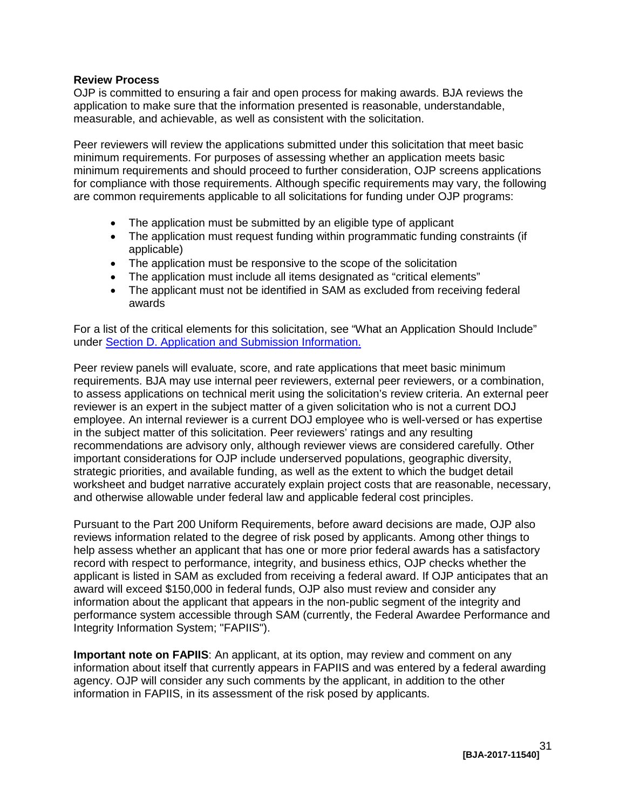#### <span id="page-30-0"></span>**Review Process**

OJP is committed to ensuring a fair and open process for making awards. BJA reviews the application to make sure that the information presented is reasonable, understandable, measurable, and achievable, as well as consistent with the solicitation.

 Peer reviewers will review the applications submitted under this solicitation that meet basic for compliance with those requirements. Although specific requirements may vary, the following are common requirements applicable to all solicitations for funding under OJP programs: minimum requirements. For purposes of assessing whether an application meets basic minimum requirements and should proceed to further consideration, OJP screens applications

- The application must be submitted by an eligible type of applicant
- The application must request funding within programmatic funding constraints (if applicable)
- The application must be responsive to the scope of the solicitation
- The application must include all items designated as "critical elements"
- The applicant must not be identified in SAM as excluded from receiving federal awards

For a list of the critical elements for this solicitation, see "What an Application Should Include" under [Section D. Application and Submission Information.](#page-13-0) 

 to assess applications on technical merit using the solicitation's review criteria. An external peer reviewer is an expert in the subject matter of a given solicitation who is not a current DOJ in the subject matter of this solicitation. Peer reviewers' ratings and any resulting worksheet and budget narrative accurately explain project costs that are reasonable, necessary, Peer review panels will evaluate, score, and rate applications that meet basic minimum requirements. BJA may use internal peer reviewers, external peer reviewers, or a combination, employee. An internal reviewer is a current DOJ employee who is well-versed or has expertise recommendations are advisory only, although reviewer views are considered carefully. Other important considerations for OJP include underserved populations, geographic diversity, strategic priorities, and available funding, as well as the extent to which the budget detail and otherwise allowable under federal law and applicable federal cost principles.

Pursuant to the Part 200 Uniform Requirements, before award decisions are made, OJP also reviews information related to the degree of risk posed by applicants. Among other things to help assess whether an applicant that has one or more prior federal awards has a satisfactory record with respect to performance, integrity, and business ethics, OJP checks whether the applicant is listed in SAM as excluded from receiving a federal award. If OJP anticipates that an award will exceed \$150,000 in federal funds, OJP also must review and consider any information about the applicant that appears in the non-public segment of the integrity and performance system accessible through SAM (currently, the Federal Awardee Performance and Integrity Information System; "FAPIIS").

 information about itself that currently appears in FAPIIS and was entered by a federal awarding **Important note on FAPIIS**: An applicant, at its option, may review and comment on any agency. OJP will consider any such comments by the applicant, in addition to the other information in FAPIIS, in its assessment of the risk posed by applicants.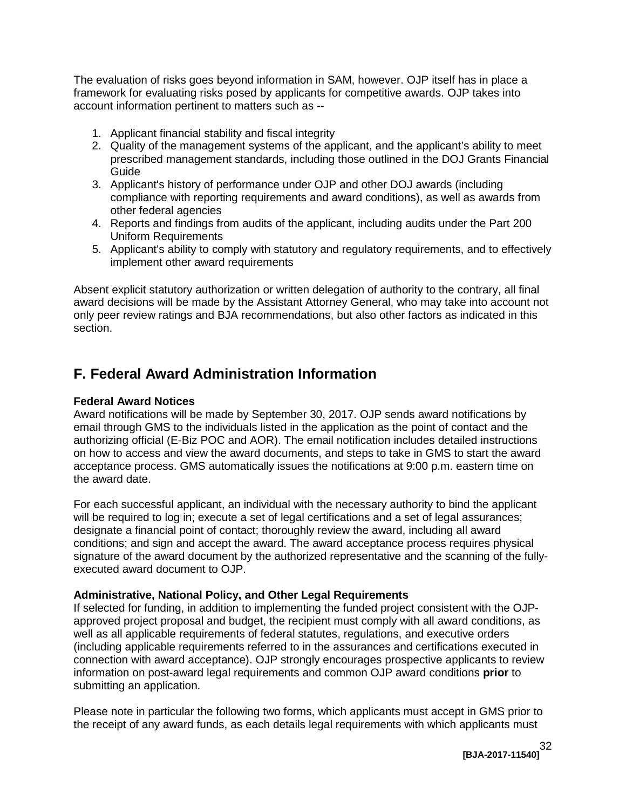The evaluation of risks goes beyond information in SAM, however. OJP itself has in place a account information pertinent to matters such as framework for evaluating risks posed by applicants for competitive awards. OJP takes into

- 1. Applicant financial stability and fiscal integrity
- 2. Quality of the management systems of the applicant, and the applicant's ability to meet prescribed management standards, including those outlined in the DOJ Grants Financial Guide
- 3. Applicant's history of performance under OJP and other DOJ awards (including compliance with reporting requirements and award conditions), as well as awards from other federal agencies
- 4. Reports and findings from audits of the applicant, including audits under the Part 200 Uniform Requirements
- 5. Applicant's ability to comply with statutory and regulatory requirements, and to effectively implement other award requirements

 only peer review ratings and BJA recommendations, but also other factors as indicated in this Absent explicit statutory authorization or written delegation of authority to the contrary, all final award decisions will be made by the Assistant Attorney General, who may take into account not section.

# <span id="page-31-3"></span><span id="page-31-0"></span>**F. Federal Award Administration Information**

## <span id="page-31-1"></span>**Federal Award Notices**

 on how to access and view the award documents, and steps to take in GMS to start the award the award date. Award notifications will be made by September 30, 2017. OJP sends award notifications by email through GMS to the individuals listed in the application as the point of contact and the authorizing official (E-Biz POC and AOR). The email notification includes detailed instructions acceptance process. GMS automatically issues the notifications at 9:00 p.m. eastern time on

 conditions; and sign and accept the award. The award acceptance process requires physical For each successful applicant, an individual with the necessary authority to bind the applicant will be required to log in; execute a set of legal certifications and a set of legal assurances; designate a financial point of contact; thoroughly review the award, including all award signature of the award document by the authorized representative and the scanning of the fullyexecuted award document to OJP.

#### <span id="page-31-2"></span> **Administrative, National Policy, and Other Legal Requirements**

 If selected for funding, in addition to implementing the funded project consistent with the OJP- connection with award acceptance). OJP strongly encourages prospective applicants to review approved project proposal and budget, the recipient must comply with all award conditions, as well as all applicable requirements of federal statutes, regulations, and executive orders (including applicable requirements referred to in the assurances and certifications executed in information on post-award legal requirements and common OJP award conditions **prior** to submitting an application.

 the receipt of any award funds, as each details legal requirements with which applicants must Please note in particular the following two forms, which applicants must accept in GMS prior to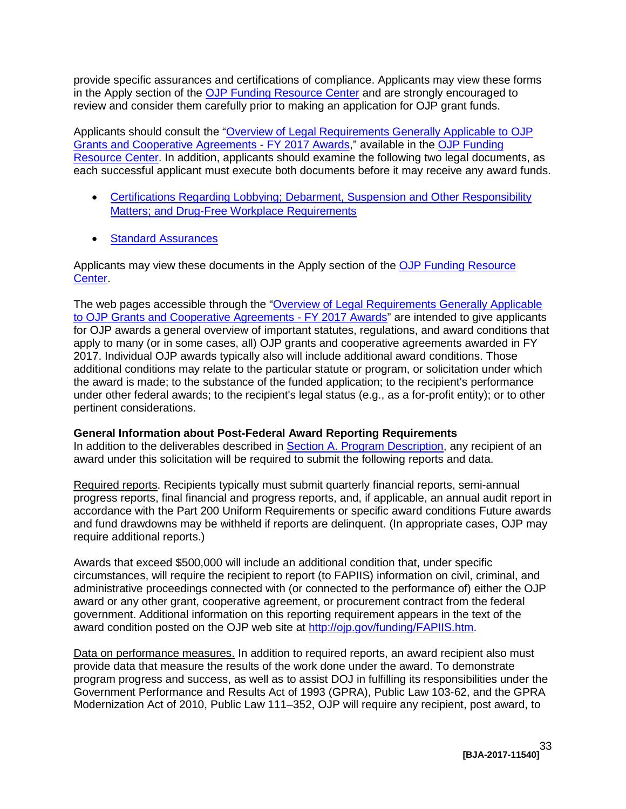provide specific assurances and certifications of compliance. Applicants may view these forms in the Apply section of the [OJP Funding Resource Center](http://ojp.gov/funding/index.htm) and are strongly encouraged to review and consider them carefully prior to making an application for OJP grant funds.

Applicants should consult the ["Overview of Legal Requirements Generally Applicable to OJP](http://ojp.gov/funding/Explore/SolicitationRequirements/index.htm)  [Grants and Cooperative Agreements -](http://ojp.gov/funding/Explore/SolicitationRequirements/index.htm) FY 2017 Awards," available in the [OJP Funding](http://ojp.gov/funding/index.htm)  [Resource Center.](http://ojp.gov/funding/index.htm) In addition, applicants should examine the following two legal documents, as each successful applicant must execute both documents before it may receive any award funds.

- **Matters; and Drug-Free Workplace Requirements** • Certifications Regarding Lobbying; Debarment, Suspension and Other Responsibility
- **Standard Assurances**

Applicants may view these documents in the Apply section of the OJP Funding Resource [Center.](http://ojp.gov/funding/index.htm)

[to OJP Grants and Cooperative Agreements -](http://ojp.gov/funding/Explore/SolicitationRequirements/index.htm) FY 2017 Awards" are intended to give applicants for OJP awards a general overview of important statutes, regulations, and award conditions that apply to many (or in some cases, all) OJP grants and cooperative agreements awarded in FY additional conditions may relate to the particular statute or program, or solicitation under which under other federal awards; to the recipient's legal status (e.g., as a for-profit entity); or to other The web pages accessible through the ["Overview of Legal Requirements Generally Applicable](http://ojp.gov/funding/Explore/SolicitationRequirements/index.htm)  2017. Individual OJP awards typically also will include additional award conditions. Those the award is made; to the substance of the funded application; to the recipient's performance pertinent considerations.

#### <span id="page-32-0"></span>**General Information about Post-Federal Award Reporting Requirements**

In addition to the deliverables described in [Section A. Program Description,](#page-3-0) any recipient of an award under this solicitation will be required to submit the following reports and data.

 and fund drawdowns may be withheld if reports are delinquent. (In appropriate cases, OJP may Required reports. Recipients typically must submit quarterly financial reports, semi-annual progress reports, final financial and progress reports, and, if applicable, an annual audit report in accordance with the Part 200 Uniform Requirements or specific award conditions Future awards require additional reports.)

 administrative proceedings connected with (or connected to the performance of) either the OJP award or any other grant, cooperative agreement, or procurement contract from the federal Awards that exceed \$500,000 will include an additional condition that, under specific circumstances, will require the recipient to report (to FAPIIS) information on civil, criminal, and government. Additional information on this reporting requirement appears in the text of the award condition posted on the OJP web site at [http://ojp.gov/funding/FAPIIS.htm.](http://ojp.gov/funding/FAPIIS.htm)

Data on performance measures. In addition to required reports, an award recipient also must provide data that measure the results of the work done under the award. To demonstrate program progress and success, as well as to assist DOJ in fulfilling its responsibilities under the Government Performance and Results Act of 1993 (GPRA), Public Law 103-62, and the GPRA Modernization Act of 2010, Public Law 111–352, OJP will require any recipient, post award, to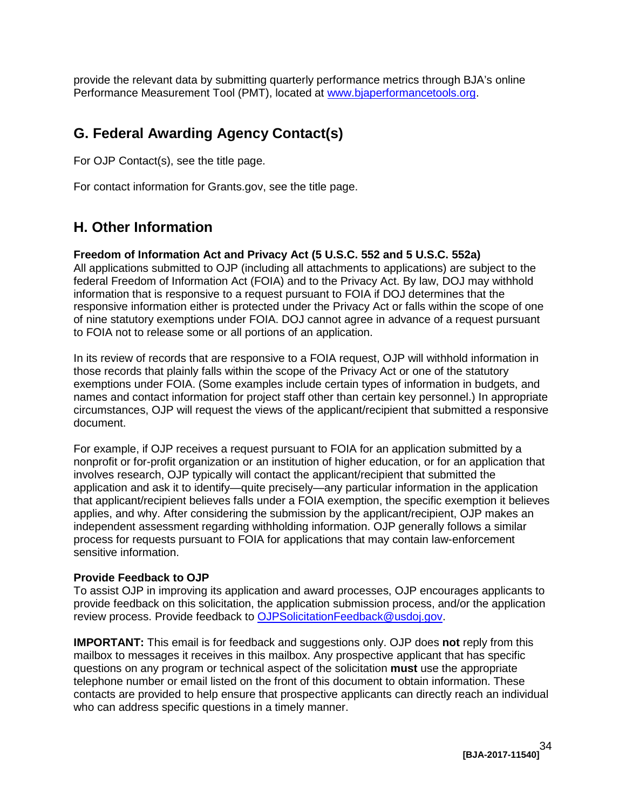provide the relevant data by submitting quarterly performance metrics through BJA's online Performance Measurement Tool (PMT), located at [www.bjaperformancetools.org.](http://www.bjaperformancetools.org/)

# <span id="page-33-0"></span> **G. Federal Awarding Agency Contact(s)**

For OJP Contact(s), see the title page.

For contact information for Grants.gov, see the title page.

# <span id="page-33-1"></span>**H. Other Information**

#### <span id="page-33-2"></span>**Freedom of Information Act and Privacy Act (5 U.S.C. 552 and 5 U.S.C. 552a)**

 federal Freedom of Information Act (FOIA) and to the Privacy Act. By law, DOJ may withhold information that is responsive to a request pursuant to FOIA if DOJ determines that the All applications submitted to OJP (including all attachments to applications) are subject to the responsive information either is protected under the Privacy Act or falls within the scope of one of nine statutory exemptions under FOIA. DOJ cannot agree in advance of a request pursuant to FOIA not to release some or all portions of an application.

 In its review of records that are responsive to a FOIA request, OJP will withhold information in those records that plainly falls within the scope of the Privacy Act or one of the statutory names and contact information for project staff other than certain key personnel.) In appropriate exemptions under FOIA. (Some examples include certain types of information in budgets, and circumstances, OJP will request the views of the applicant/recipient that submitted a responsive document.

 independent assessment regarding withholding information. OJP generally follows a similar process for requests pursuant to FOIA for applications that may contain law-enforcement For example, if OJP receives a request pursuant to FOIA for an application submitted by a nonprofit or for-profit organization or an institution of higher education, or for an application that involves research, OJP typically will contact the applicant/recipient that submitted the application and ask it to identify—quite precisely—any particular information in the application that applicant/recipient believes falls under a FOIA exemption, the specific exemption it believes applies, and why. After considering the submission by the applicant/recipient, OJP makes an sensitive information.

#### <span id="page-33-3"></span>**Provide Feedback to OJP**

 provide feedback on this solicitation, the application submission process, and/or the application review process. Provide feedback to [OJPSolicitationFeedback@usdoj.gov.](mailto:OJPSolicitationFeedback@usdoj.gov) To assist OJP in improving its application and award processes, OJP encourages applicants to

 **IMPORTANT:** This email is for feedback and suggestions only. OJP does **not** reply from this mailbox to messages it receives in this mailbox. Any prospective applicant that has specific questions on any program or technical aspect of the solicitation **must** use the appropriate telephone number or email listed on the front of this document to obtain information. These who can address specific questions in a timely manner. contacts are provided to help ensure that prospective applicants can directly reach an individual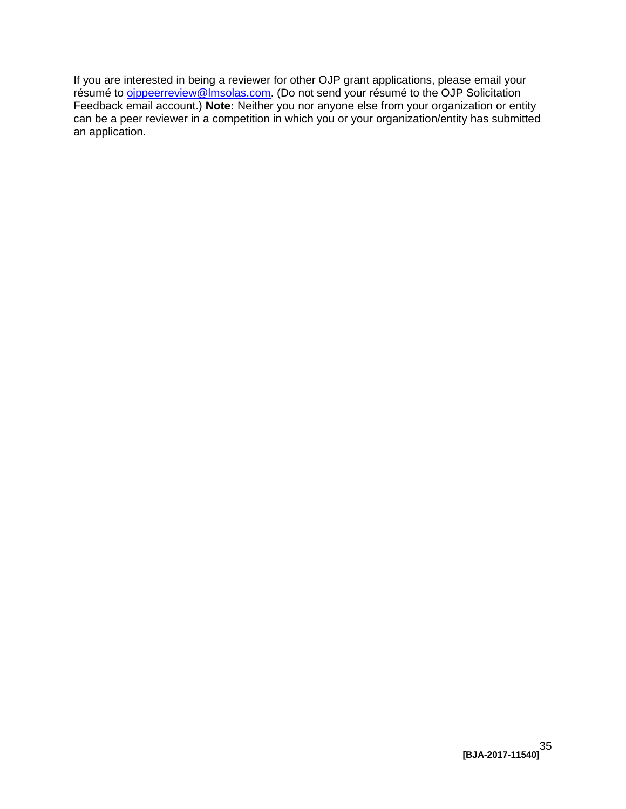$\overline{a}$ If you are interested in being a reviewer for other OJP grant applications, please email your résumé to *oippeerreview@Imsolas.com*. (Do not send your résumé to the OJP Solicitation Feedback email account.) **Note:** Neither you nor anyone else from your organization or entity can be a peer reviewer in a competition in which you or your organization/entity has submitted an application.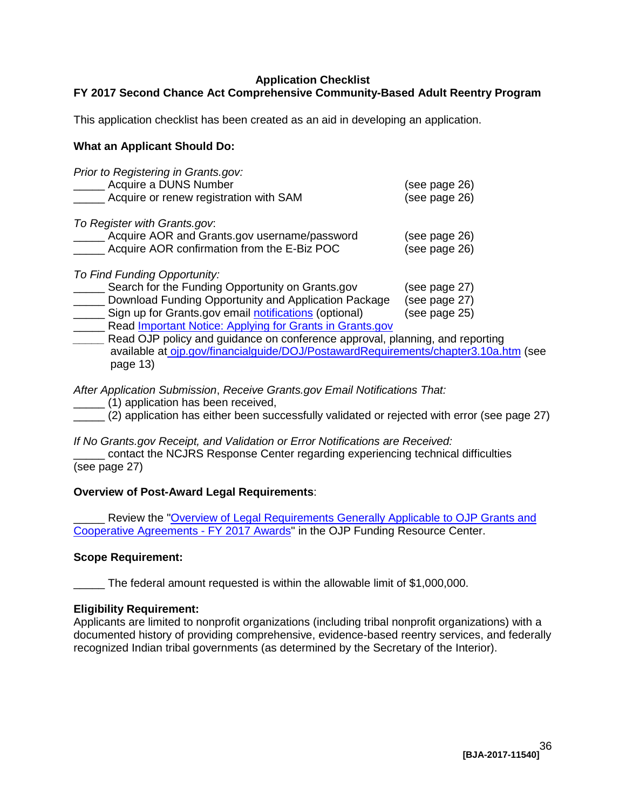# <span id="page-35-0"></span> **FY 2017 Second Chance Act Comprehensive Community-Based Adult Reentry Program Application Checklist**

This application checklist has been created as an aid in developing an application.

### **What an Applicant Should Do:**

| Prior to Registering in Grants.gov:<br>Acquire a DUNS Number<br>Acquire or renew registration with SAM                      | (see page 26)<br>(see page 26) |
|-----------------------------------------------------------------------------------------------------------------------------|--------------------------------|
| To Register with Grants.gov:<br>Acquire AOR and Grants.gov username/password<br>Acquire AOR confirmation from the E-Biz POC | (see page 26)<br>(see page 26) |
| To Find Funding Opportunity:                                                                                                |                                |

| Search for the Funding Opportunity on Grants.gov                | (see page 27) |
|-----------------------------------------------------------------|---------------|
| Download Funding Opportunity and Application Package            | (see page 27) |
| Sign up for Grants.gov email notifications (optional)           | (see page 25) |
| Read <i>Important Notice: Applying for Grants in Grants.gov</i> |               |

Read OJP policy and guidance on conference approval, planning, and reporting available at [ojp.gov/financialguide/DOJ/PostawardRequirements/chapter3.10a.htm](http://ojp.gov/financialguide/DOJ/PostawardRequirements/chapter3.10a.htm) (see page 13)

*After Application Submission*, *Receive Grants.gov Email Notifications That:*

- \_\_\_\_\_ (1) application has been received,
- \_\_\_\_\_ (2) application has either been successfully validated or rejected with error (see page 27)

*If No Grants.gov Receipt, and Validation or Error Notifications are Received:* 

 \_\_\_\_\_ contact the NCJRS Response Center regarding experiencing technical difficulties (see page 27)

#### **Overview of Post-Award Legal Requirements**:

**EXECTE:** Review the "Overview of Legal Requirements Generally Applicable to OJP Grants and [Cooperative Agreements -](http://ojp.gov/funding/Explore/SolicitationRequirements/index.htm) FY 2017 Awards" in the OJP Funding Resource Center.

#### **Scope Requirement:**

\_\_\_\_\_ The federal amount requested is within the allowable limit of \$1,000,000.

# **Eligibility Requirement:**

Applicants are limited to nonprofit organizations (including tribal nonprofit organizations) with a documented history of providing comprehensive, evidence-based reentry services, and federally recognized Indian tribal governments (as determined by the Secretary of the Interior).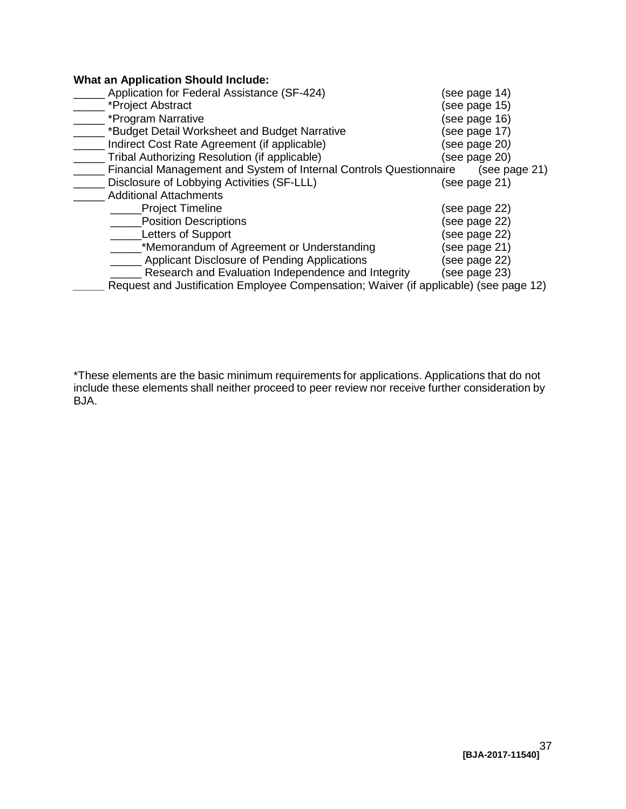### **What an Application Should Include:**

| Application for Federal Assistance (SF-424)                                           | (see page 14) |
|---------------------------------------------------------------------------------------|---------------|
| *Project Abstract                                                                     | (see page 15) |
| *Program Narrative                                                                    | (see page 16) |
| *Budget Detail Worksheet and Budget Narrative                                         | (see page 17) |
| Indirect Cost Rate Agreement (if applicable)                                          | (see page 20) |
| Tribal Authorizing Resolution (if applicable)                                         | (see page 20) |
| Financial Management and System of Internal Controls Questionnaire                    | (see page 21) |
| Disclosure of Lobbying Activities (SF-LLL)                                            | (see page 21) |
| <b>Additional Attachments</b>                                                         |               |
| <b>Project Timeline</b>                                                               | (see page 22) |
| <b>Position Descriptions</b>                                                          | (see page 22) |
| <b>Letters of Support</b>                                                             | (see page 22) |
| *Memorandum of Agreement or Understanding                                             | (see page 21) |
| Applicant Disclosure of Pending Applications                                          | (see page 22) |
| Research and Evaluation Independence and Integrity                                    | (see page 23) |
| Request and Justification Employee Compensation; Waiver (if applicable) (see page 12) |               |

 \*These elements are the basic minimum requirements for applications. Applications that do not include these elements shall neither proceed to peer review nor receive further consideration by BJA.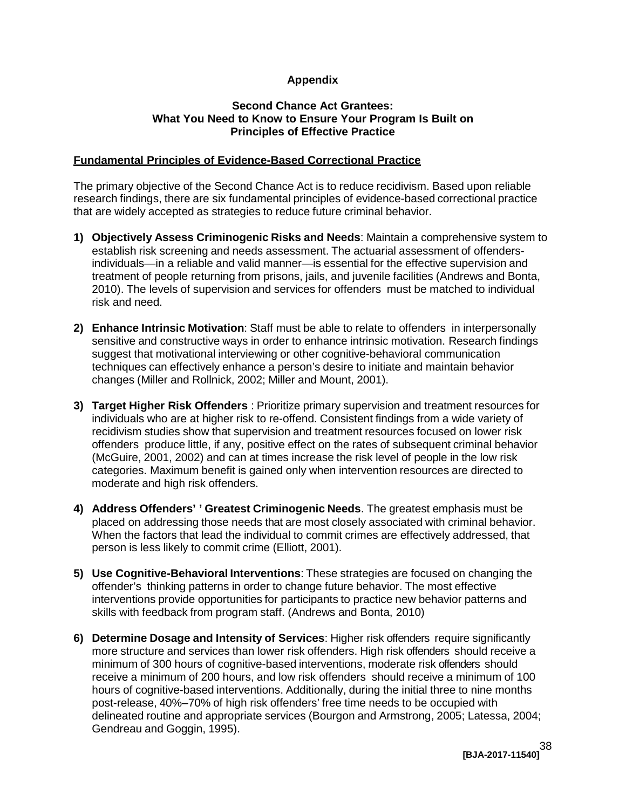## **Appendix**

#### **What You Need to Know to Ensure Your Program Is Built on Second Chance Act Grantees: Principles of Effective Practice**

# <span id="page-37-0"></span> **Fundamental Principles of Evidence-Based Correctional Practice**

 The primary objective of the Second Chance Act is to reduce recidivism. Based upon reliable research findings, there are six fundamental principles of evidence-based correctional practice that are widely accepted as strategies to reduce future criminal behavior.

- **1) Objectively Assess Criminogenic Risks and Needs**: Maintain a comprehensive system to establish risk screening and needs assessment. The actuarial assessment of offenders- individuals—in a reliable and valid manner—is essential for the effective supervision and treatment of people returning from prisons, jails, and juvenile facilities (Andrews and Bonta, 2010). The levels of supervision and services for offenders must be matched to individual risk and need.
- **2) Enhance Intrinsic Motivation**: Staff must be able to relate to offenders in interpersonally sensitive and constructive ways in order to enhance intrinsic motivation. Research findings suggest that motivational interviewing or other cognitive-behavioral communication techniques can effectively enhance a person's desire to initiate and maintain behavior changes (Miller and Rollnick, 2002; Miller and Mount, 2001).
- **3) Target Higher Risk Offenders** : Prioritize primary supervision and treatment resources for individuals who are at higher risk to re-offend. Consistent findings from a wide variety of recidivism studies show that supervision and treatment resources focused on lower risk offenders produce little, if any, positive effect on the rates of subsequent criminal behavior (McGuire, 2001, 2002) and can at times increase the risk level of people in the low risk categories. Maximum benefit is gained only when intervention resources are directed to moderate and high risk offenders.
- **4) Address Offenders' ' Greatest Criminogenic Needs**. The greatest emphasis must be placed on addressing those needs that are most closely associated with criminal behavior. When the factors that lead the individual to commit crimes are effectively addressed, that person is less likely to commit crime (Elliott, 2001).
- **5) Use Cognitive-Behavioral Interventions**: These strategies are focused on changing the offender's thinking patterns in order to change future behavior. The most effective interventions provide opportunities for participants to practice new behavior patterns and skills with feedback from program staff. (Andrews and Bonta, 2010)
- **6) Determine Dosage and Intensity of Services**: Higher risk offenders require significantly more structure and services than lower risk offenders. High risk offenders should receive a minimum of 300 hours of cognitive-based interventions, moderate risk offenders should receive a minimum of 200 hours, and low risk offenders should receive a minimum of 100 hours of cognitive-based interventions. Additionally, during the initial three to nine months post-release, 40%–70% of high risk offenders' free time needs to be occupied with delineated routine and appropriate services (Bourgon and Armstrong, 2005; Latessa, 2004; Gendreau and Goggin, 1995).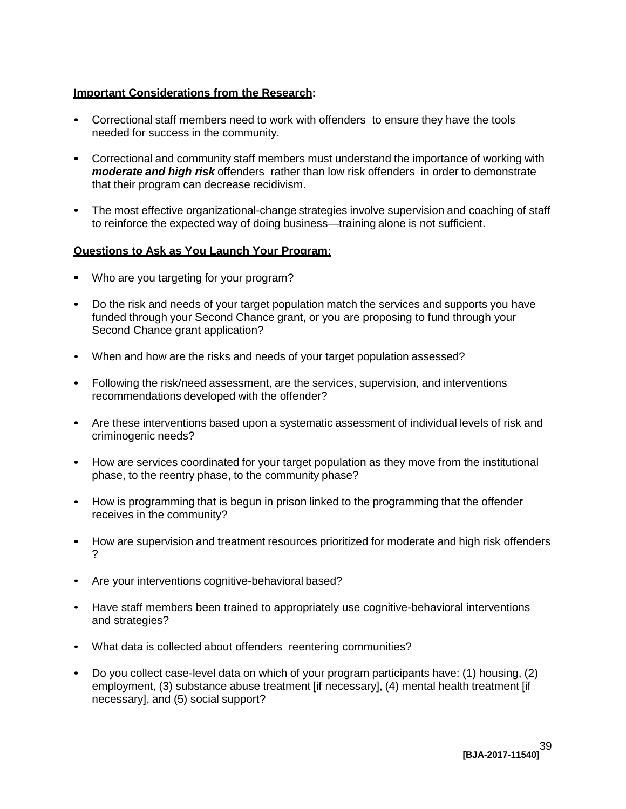# **Important Considerations from the Research:**

- Correctional staff members need to work with offenders to ensure they have the tools needed for success in the community.
- Correctional and community staff members must understand the importance of working with *moderate and high risk* offenders rather than low risk offenders in order to demonstrate that their program can decrease recidivism.
- to reinforce the expected way of doing business—training alone is not sufficient. The most effective organizational-change strategies involve supervision and coaching of staff

### **Questions to Ask as You Launch Your Program:**

- Who are you targeting for your program?
- Do the risk and needs of your target population match the services and supports you have funded through your Second Chance grant, or you are proposing to fund through your Second Chance grant application?
- When and how are the risks and needs of your target population assessed?
- Following the risk/need assessment, are the services, supervision, and interventions recommendations developed with the offender?
- Are these interventions based upon a systematic assessment of individual levels of risk and criminogenic needs?
- How are services coordinated for your target population as they move from the institutional phase, to the reentry phase, to the community phase?
- How is programming that is begun in prison linked to the programming that the offender receives in the community?
- How are supervision and treatment resources prioritized for moderate and high risk offenders ?
- Are your interventions cognitive-behavioral based?
- Have staff members been trained to appropriately use cognitive-behavioral interventions and strategies?
- • What data is collected about offenders reentering communities?
- Do you collect case-level data on which of your program participants have: (1) housing, (2) employment, (3) substance abuse treatment [if necessary], (4) mental health treatment [if necessary], and (5) social support?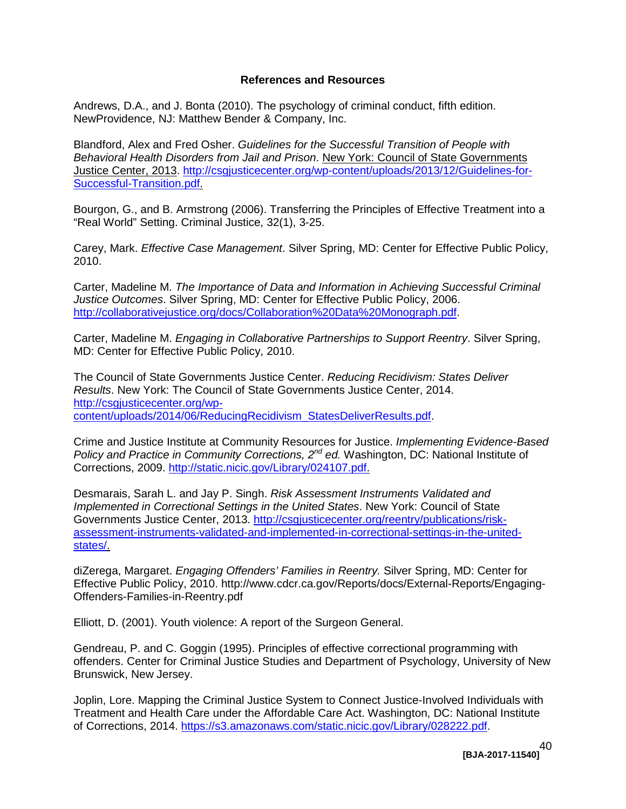#### **References and Resources**

<span id="page-39-0"></span>Andrews, D.A., and J. Bonta (2010). The psychology of criminal conduct, fifth edition. NewProvidence, NJ: Matthew Bender & Company, Inc.

 *Behavioral Health Disorders from Jail and Prison*. New York: Council of State Governments Blandford, Alex and Fred Osher. *Guidelines for the Successful Transition of People with*  Justice Center, 2013. [http://csgjusticecenter.org/wp-content/uploads/2013/12/Guidelines-for-](http://csgjusticecenter.org/wp-content/uploads/2013/12/Guidelines-for-Successful-Transition.pdf)[Successful-Transition.pdf.](http://csgjusticecenter.org/wp-content/uploads/2013/12/Guidelines-for-Successful-Transition.pdf)

Bourgon, G., and B. Armstrong (2006). Transferring the Principles of Effective Treatment into a "Real World" Setting. Criminal Justice, 32(1), 3-25.

Carey, Mark. *Effective Case Management*. Silver Spring, MD: Center for Effective Public Policy, 2010.

 *Justice Outcomes*. Silver Spring, MD: Center for Effective Public Policy, 2006. Carter, Madeline M. *The Importance of Data and Information in Achieving Successful Criminal*  [http://collaborativejustice.org/docs/Collaboration%20Data%20Monograph.pdf.](http://collaborativejustice.org/docs/Collaboration%20Data%20Monograph.pdf)

Carter, Madeline M. *Engaging in Collaborative Partnerships to Support Reentry*. Silver Spring, MD: Center for Effective Public Policy, 2010.

 *Results*. New York: The Council of State Governments Justice Center, 2014. The Council of State Governments Justice Center. *Reducing Recidivism: States Deliver*  [http://csgjusticecenter.org/wp](http://csgjusticecenter.org/wp-content/uploads/2014/06/ReducingRecidivism_StatesDeliverResults.pdf)[content/uploads/2014/06/ReducingRecidivism\\_StatesDeliverResults.pdf.](http://csgjusticecenter.org/wp-content/uploads/2014/06/ReducingRecidivism_StatesDeliverResults.pdf)

 Crime and Justice Institute at Community Resources for Justice. *Implementing Evidence-Based Policy and Practice in Community Corrections, 2nd ed.* Washington, DC: National Institute of Corrections, 2009. [http://static.nicic.gov/Library/024107.pdf.](http://static.nicic.gov/Library/024107.pdf)

states/ Desmarais, Sarah L. and Jay P. Singh. *Risk Assessment Instruments Validated and Implemented in Correctional Settings in the United States*. New York: Council of State Governments Justice Center, 2013. [http://csgjusticecenter.org/reentry/publications/risk](http://csgjusticecenter.org/reentry/publications/risk-assessment-instruments-validated-and-implemented-in-correctional-settings-in-the-united-states/)[assessment-instruments-validated-and-implemented-in-correctional-settings-in-the-united-](http://csgjusticecenter.org/reentry/publications/risk-assessment-instruments-validated-and-implemented-in-correctional-settings-in-the-united-states/)

<u>[states/.](http://csgjusticecenter.org/reentry/publications/risk-assessment-instruments-validated-and-implemented-in-correctional-settings-in-the-united-states/)</u><br>diZerega, Margaret. *Engaging Offenders' Families in Reentry.* Silver Spring, MD: Center for Effective Public Policy, 2010. http://www.cdcr.ca.gov/Reports/docs/External-Reports/Engaging-Offenders-Families-in-Reentry.pdf

Elliott, D. (2001). Youth violence: A report of the Surgeon General.

Gendreau, P. and C. Goggin (1995). Principles of effective correctional programming with offenders. Center for Criminal Justice Studies and Department of Psychology, University of New Brunswick, New Jersey.

 Treatment and Health Care under the Affordable Care Act. Washington, DC: National Institute Joplin, Lore. Mapping the Criminal Justice System to Connect Justice-Involved Individuals with of Corrections, 2014. [https://s3.amazonaws.com/static.nicic.gov/Library/028222.pdf.](https://s3.amazonaws.com/static.nicic.gov/Library/028222.pdf)

> **[BJA-2017-11540]**  40